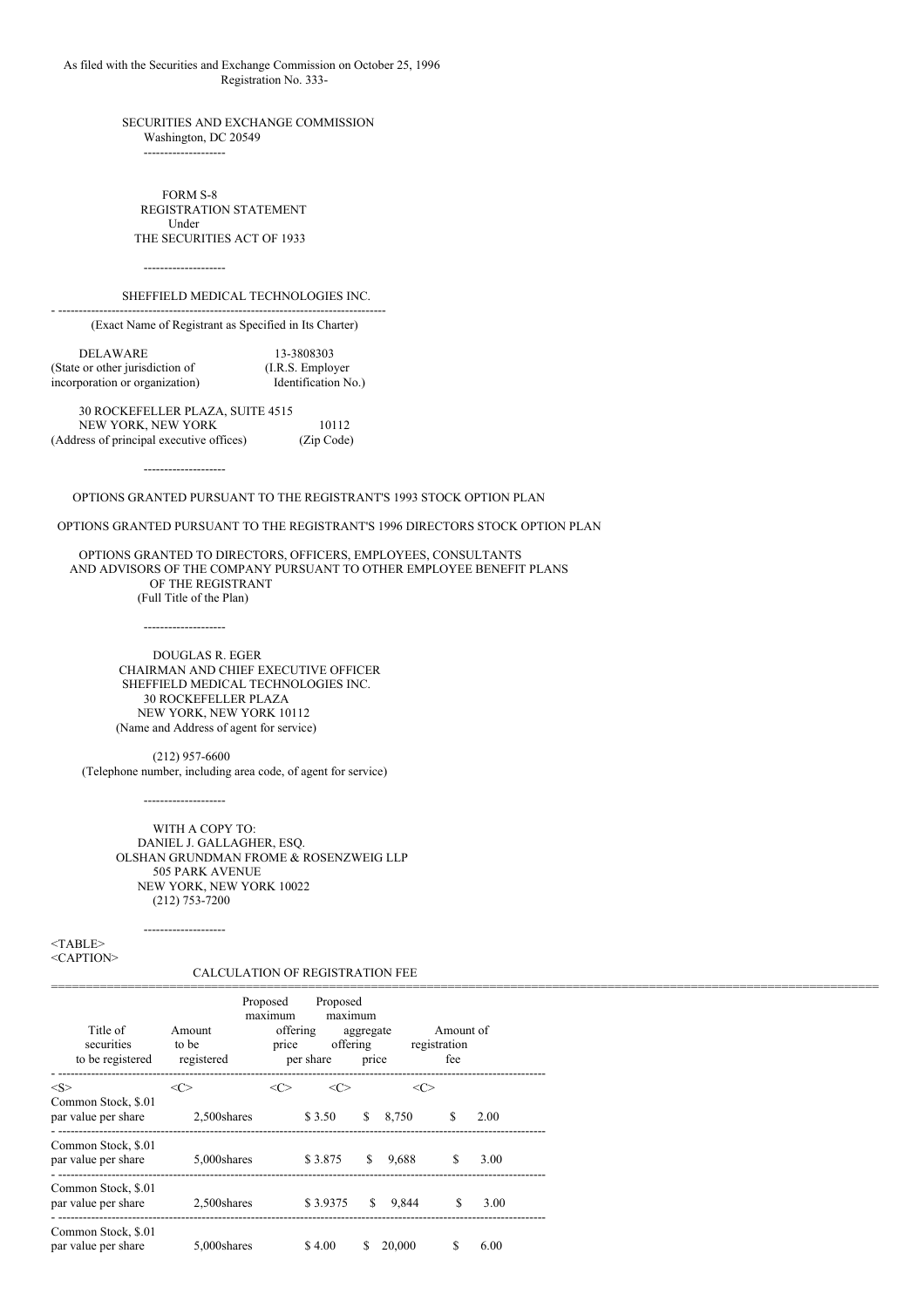# As filed with the Securities and Exchange Commission on October 25, 1996 Registration No. 333-

# SECURITIES AND EXCHANGE COMMISSION

Washington, DC 20549

--------------------

--------------------

FORM S-8 REGISTRATION STATEMENT Under THE SECURITIES ACT OF 1933

# SHEFFIELD MEDICAL TECHNOLOGIES INC.

#### - -------------------------------------------------------------------------------- (Exact Name of Registrant as Specified in Its Charter)

DELAWARE 13-3808303<br>e or other jurisdiction of (I.R.S. Employer (State or other jurisdiction of incorporation or organization) Identification No.)

| 30 ROCKEFELLER PLAZA, SUITE 4515         |            |
|------------------------------------------|------------|
| NEW YORK, NEW YORK                       | 10112      |
| (Address of principal executive offices) | (Zip Code) |

--------------------

# OPTIONS GRANTED PURSUANT TO THE REGISTRANT'S 1993 STOCK OPTION PLAN

## OPTIONS GRANTED PURSUANT TO THE REGISTRANT'S 1996 DIRECTORS STOCK OPTION PLAN

OPTIONS GRANTED TO DIRECTORS, OFFICERS, EMPLOYEES, CONSULTANTS AND ADVISORS OF THE COMPANY PURSUANT TO OTHER EMPLOYEE BENEFIT PLANS OF THE REGISTRANT (Full Title of the Plan)

--------------------

--------------------

--------------------

DOUGLAS R. EGER CHAIRMAN AND CHIEF EXECUTIVE OFFICER SHEFFIELD MEDICAL TECHNOLOGIES INC. 30 ROCKEFELLER PLAZA NEW YORK, NEW YORK 10112 (Name and Address of agent for service)

(212) 957-6600 (Telephone number, including area code, of agent for service)

> WITH A COPY TO: DANIEL J. GALLAGHER, ESQ. OLSHAN GRUNDMAN FROME & ROSENZWEIG LLP 505 PARK AVENUE NEW YORK, NEW YORK 10022 (212) 753-7200

<TABLE> <CAPTION>

### CALCULATION OF REGISTRATION FEE

| Title of<br>securities                              | Amount<br>to be                     | Proposed<br>maximum<br>offering<br>price | Proposed<br>maximum<br>offering | aggregate    |         |       | Amount of<br>registration |      |
|-----------------------------------------------------|-------------------------------------|------------------------------------------|---------------------------------|--------------|---------|-------|---------------------------|------|
| to be registered                                    | registered                          |                                          | per share                       | price        |         |       | fee                       |      |
| < S ><br>Common Stock, \$.01<br>par value per share | $\langle C \rangle$<br>2.500 shares | <c></c>                                  | $\ll$<br>\$3.50                 | $\mathbf{s}$ | 8.750   | $\ll$ |                           | 2.00 |
| Common Stock, \$.01<br>par value per share          | 5.000 shares                        |                                          | \$3.875                         |              | \$9.688 |       | <sup>S</sup>              | 3.00 |
| Common Stock, \$.01<br>par value per share          | 2,500 shares                        |                                          | \$3.9375                        |              | \$9,844 |       | <sup>S</sup>              | 3.00 |
| Common Stock, \$.01<br>par value per share          | 5.000 shares                        |                                          | \$4.00                          | S.           | 20,000  |       | \$.                       | 6.00 |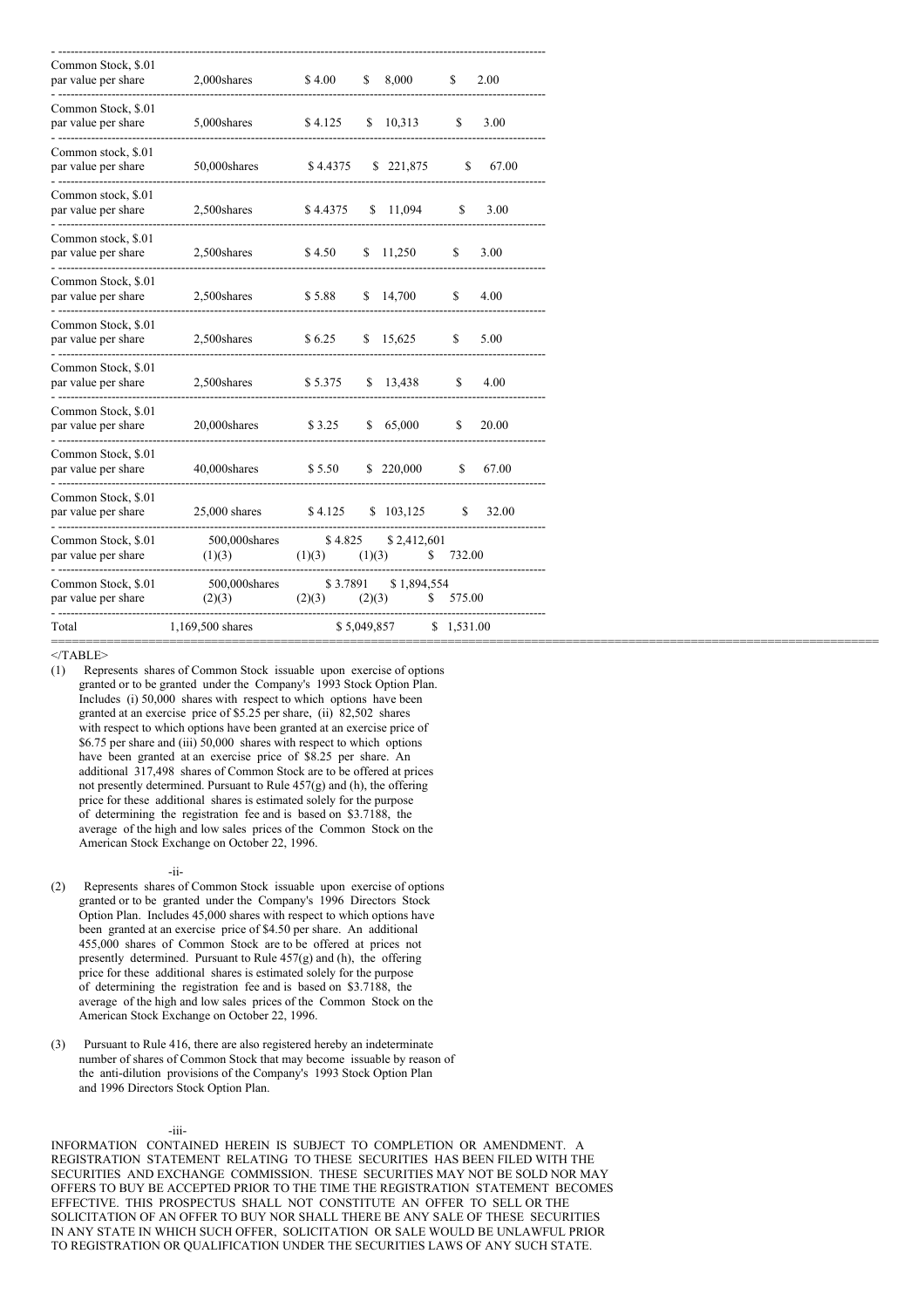| Common Stock, \$.01<br>par value per share                             | 2,000shares             | \$4.00             |             | \$8,000               | \$         | 2.00        |  |
|------------------------------------------------------------------------|-------------------------|--------------------|-------------|-----------------------|------------|-------------|--|
| Common Stock, \$.01<br>par value per share                             | 5,000shares             | \$4.125            |             | \$10,313              | S          | 3.00        |  |
| Common stock, \$.01<br>par value per share<br>--------------------     | 50,000shares            | \$4.4375           |             | \$ 221,875            |            | 67.00<br>\$ |  |
| Common stock, \$.01<br>par value per share<br>---------------------    | 2,500 shares            | \$4.4375           |             | \$11,094              | \$         | 3.00        |  |
| Common stock, \$.01<br>par value per share                             | 2,500 shares            | \$4.50             |             | \$11,250              | S          | 3.00        |  |
| Common Stock, \$.01<br>par value per share<br>----------------------   | 2,500 shares            | \$5.88             |             | \$14,700              | \$         | 4.00        |  |
| Common Stock, \$.01<br>par value per share                             | 2,500 shares            | \$6.25             |             | \$15,625              | \$         | 5.00        |  |
| Common Stock, \$.01<br>par value per share                             | 2,500 shares            | \$5.375            |             | \$13,438              | \$         | 4.00        |  |
| Common Stock, \$.01<br>par value per share<br>------------------------ | 20,000shares            | \$3.25             |             | \$65,000              | S.         | 20.00       |  |
| Common Stock, \$.01<br>par value per share                             | 40,000shares            | \$5.50             |             | \$220,000             | S.         | 67.00       |  |
| Common Stock, \$.01<br>par value per share<br>______________________   | 25,000 shares           | \$4.125            |             | \$103,125             | S.         | 32.00       |  |
| Common Stock, \$.01<br>par value per share                             | 500,000shares<br>(1)(3) | \$4.825<br>(1)(3)  | (1)(3)      | \$2,412,601           | \$ 732.00  |             |  |
| Common Stock, \$.01<br>par value per share                             | 500,000shares<br>(2)(3) | \$3.7891<br>(2)(3) |             | \$1,894,554<br>(2)(3) | \$575.00   |             |  |
| Total                                                                  | 1,169,500 shares        |                    | \$5,049,857 |                       | \$1,531.00 |             |  |
|                                                                        |                         |                    |             |                       |            |             |  |

 $<$ /TABLE>

(1) Represents shares of Common Stock issuable upon exercise of options granted or to be granted under the Company's 1993 Stock Option Plan. Includes (i) 50,000 shares with respect to which options have been granted at an exercise price of  $$5.25$  per share, (ii)  $82,502$  shares with respect to which options have been granted at an exercise price of \$6.75 per share and (iii) 50,000 shares with respect to which options have been granted at an exercise price of \$8.25 per share. An additional 317,498 shares of Common Stock are to be offered at prices not presently determined. Pursuant to Rule  $457(g)$  and (h), the offering price for these additional shares is estimated solely for the purpose of determining the registration fee and is based on \$3.7188, the average of the high and low sales prices of the Common Stock on the American Stock Exchange on October 22, 1996.

(2) Represents shares of Common Stock issuable upon exercise of options granted or to be granted under the Company's 1996 Directors Stock Option Plan. Includes 45,000 shares with respect to which options have been granted at an exercise price of \$4.50 per share. An additional 455,000 shares of Common Stock are to be offered at prices not presently determined. Pursuant to Rule 457(g) and (h), the offering price for these additional shares is estimated solely for the purpose of determining the registration fee and is based on \$3.7188, the average of the high and low sales prices of the Common Stock on the American Stock Exchange on October 22, 1996.

(3) Pursuant to Rule 416, there are also registered hereby an indeterminate number of shares of Common Stock that may become issuable by reason of the anti-dilution provisions of the Company's 1993 Stock Option Plan and 1996 Directors Stock Option Plan.

#### -iii-

-ii-

INFORMATION CONTAINED HEREIN IS SUBJECT TO COMPLETION OR AMENDMENT. A REGISTRATION STATEMENT RELATING TO THESE SECURITIES HAS BEEN FILED WITH THE SECURITIES AND EXCHANGE COMMISSION. THESE SECURITIES MAY NOT BE SOLD NOR MAY OFFERS TO BUY BE ACCEPTED PRIOR TO THE TIME THE REGISTRATION STATEMENT BECOMES EFFECTIVE. THIS PROSPECTUS SHALL NOT CONSTITUTE AN OFFER TO SELL OR THE SOLICITATION OF AN OFFER TO BUY NOR SHALL THERE BE ANY SALE OF THESE SECURITIES IN ANY STATE IN WHICH SUCH OFFER, SOLICITATION OR SALE WOULD BE UNLAWFUL PRIOR TO REGISTRATION OR QUALIFICATION UNDER THE SECURITIES LAWS OF ANY SUCH STATE.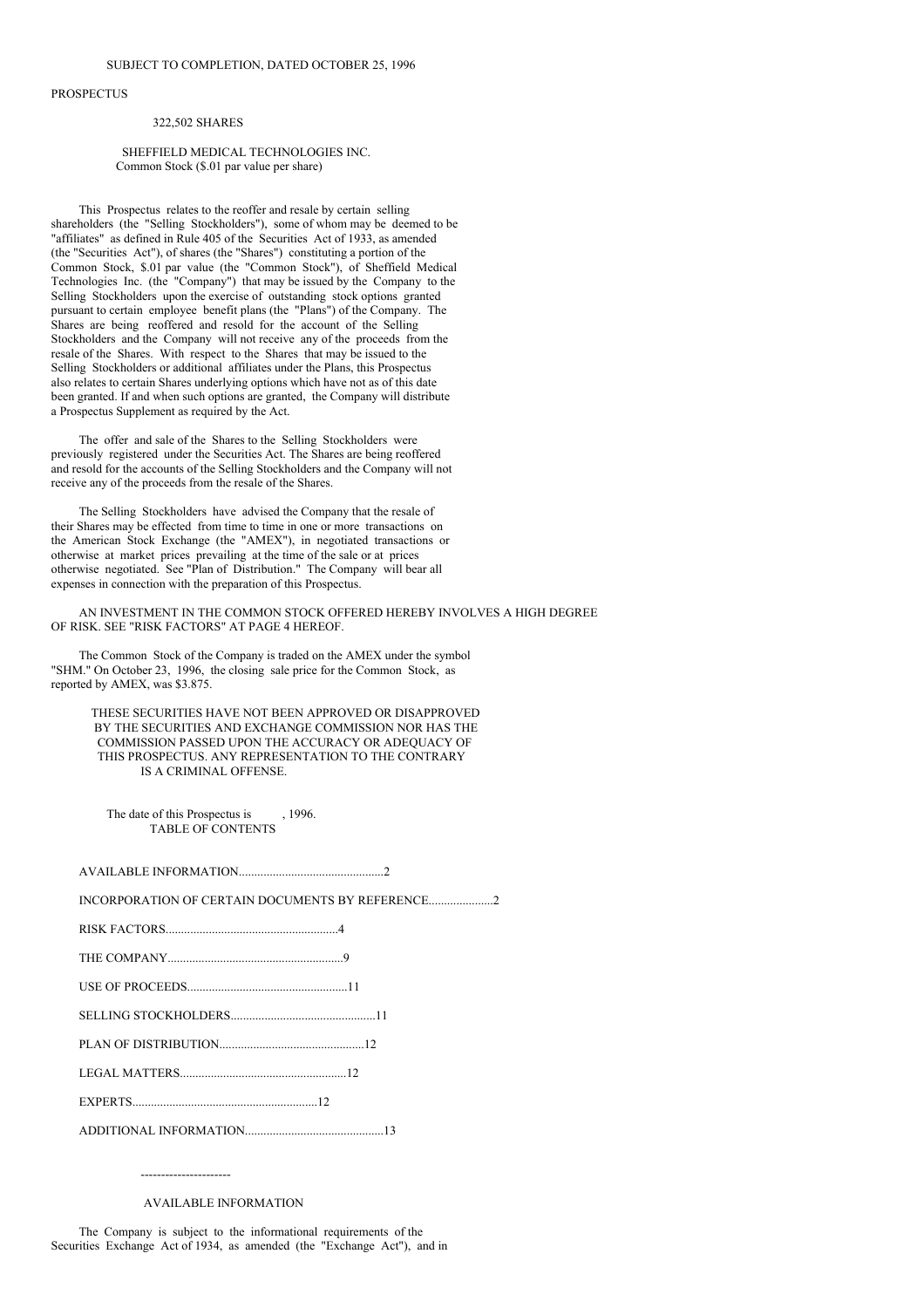# PROSPECTUS

#### 322,502 SHARES

SHEFFIELD MEDICAL TECHNOLOGIES INC. Common Stock (\$.01 par value per share)

This Prospectus relates to the reoffer and resale by certain selling shareholders (the "Selling Stockholders"), some of whom may be deemed to be "affiliates" as defined in Rule 405 of the Securities Act of 1933, as amended (the "Securities Act"), of shares (the "Shares") constituting a portion of the Common Stock, \$.01 par value (the "Common Stock"), of Sheffield Medical Technologies Inc. (the "Company") that may be issued by the Company to the Selling Stockholders upon the exercise of outstanding stock options granted pursuant to certain employee benefit plans (the "Plans") of the Company. The Shares are being reoffered and resold for the account of the Selling Stockholders and the Company will not receive any of the proceeds from the resale of the Shares. With respect to the Shares that may be issued to the Selling Stockholders or additional affiliates under the Plans, this Prospectus also relates to certain Shares underlying options which have not as of this date been granted. If and when such options are granted, the Company will distribute a Prospectus Supplement as required by the Act.

The offer and sale of the Shares to the Selling Stockholders were previously registered under the Securities Act. The Shares are being reoffered and resold for the accounts of the Selling Stockholders and the Company will not receive any of the proceeds from the resale of the Shares.

The Selling Stockholders have advised the Company that the resale of their Shares may be effected from time to time in one or more transactions on the American Stock Exchange (the "AMEX"), in negotiated transactions or otherwise at market prices prevailing at the time of the sale or at prices otherwise negotiated. See "Plan of Distribution." The Company will bear all expenses in connection with the preparation of this Prospectus.

AN INVESTMENT IN THE COMMON STOCK OFFERED HEREBY INVOLVES A HIGH DEGREE OF RISK. SEE "RISK FACTORS" AT PAGE 4 HEREOF.

The Common Stock of the Company is traded on the AMEX under the symbol "SHM." On October 23, 1996, the closing sale price for the Common Stock, as reported by AMEX, was \$3.875.

THESE SECURITIES HAVE NOT BEEN APPROVED OR DISAPPROVED BY THE SECURITIES AND EXCHANGE COMMISSION NOR HAS THE COMMISSION PASSED UPON THE ACCURACY OR ADEQUACY OF THIS PROSPECTUS. ANY REPRESENTATION TO THE CONTRARY IS A CRIMINAL OFFENSE.

The date of this Prospectus is  $, 1996$ . TABLE OF CONTENTS

AVAILABLE INFORMATION...............................................2

INCORPORATION OF CERTAIN DOCUMENTS BY REFERENCE.....................2

RISK FACTORS........................................................4

THE COMPANY.........................................................9

USE OF PROCEEDS....................................................11

SELLING STOCKHOLDERS...............................................11

PLAN OF DISTRIBUTION...............................................12

LEGAL MATTERS......................................................12

EXPERTS............................................................12

ADDITIONAL INFORMATION.............................................13

AVAILABLE INFORMATION

----------------------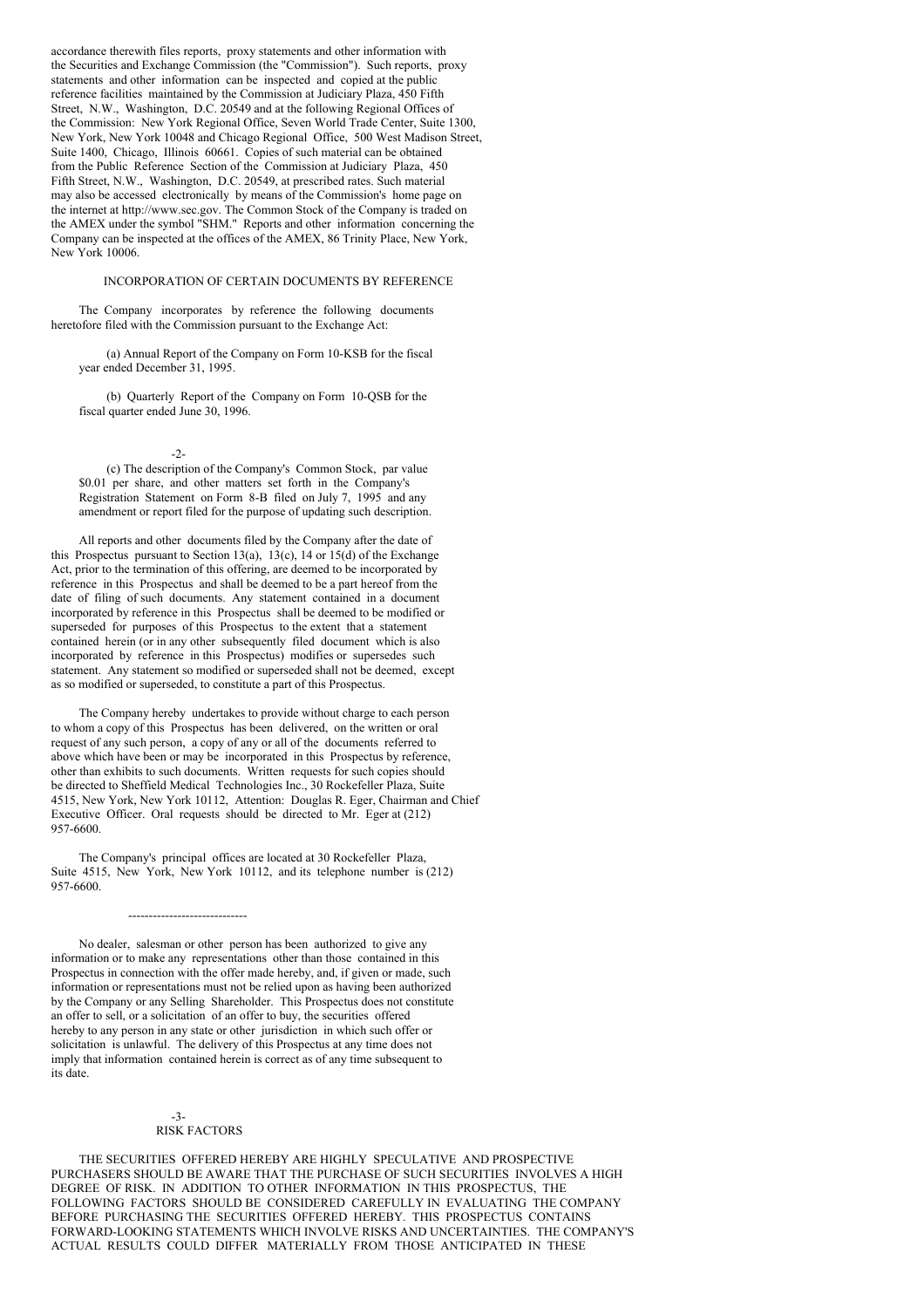accordance therewith files reports, proxy statements and other information with the Securities and Exchange Commission (the "Commission"). Such reports, proxy statements and other information can be inspected and copied at the public reference facilities maintained by the Commission at Judiciary Plaza, 450 Fifth Street, N.W., Washington, D.C. 20549 and at the following Regional Offices of the Commission: New York Regional Office, Seven World Trade Center, Suite 1300, New York, New York 10048 and Chicago Regional Office, 500 West Madison Street, Suite 1400, Chicago, Illinois 60661. Copies of such material can be obtained from the Public Reference Section of the Commission at Judiciary Plaza, 450 Fifth Street, N.W., Washington, D.C. 20549, at prescribed rates. Such material may also be accessed electronically by means of the Commission's home page on the internet at http://www.sec.gov. The Common Stock of the Company is traded on the AMEX under the symbol "SHM." Reports and other information concerning the Company can be inspected at the offices of the AMEX, 86 Trinity Place, New York, New York 10006.

# INCORPORATION OF CERTAIN DOCUMENTS BY REFERENCE

The Company incorporates by reference the following documents heretofore filed with the Commission pursuant to the Exchange Act:

(a) Annual Report of the Company on Form 10-KSB for the fiscal year ended December 31, 1995.

(b) Quarterly Report of the Company on Form 10-QSB for the fiscal quarter ended June 30, 1996.

### -2-

(c) The description of the Company's Common Stock, par value \$0.01 per share, and other matters set forth in the Company's Registration Statement on Form 8-B filed on July 7, 1995 and any amendment or report filed for the purpose of updating such description.

All reports and other documents filed by the Company after the date of this Prospectus pursuant to Section 13(a), 13(c), 14 or 15(d) of the Exchange Act, prior to the termination of this offering, are deemed to be incorporated by reference in this Prospectus and shall be deemed to be a part hereof from the date of filing of such documents. Any statement contained in a document incorporated by reference in this Prospectus shall be deemed to be modified or superseded for purposes of this Prospectus to the extent that a statement contained herein (or in any other subsequently filed document which is also incorporated by reference in this Prospectus) modifies or supersedes such statement. Any statement so modified or superseded shall not be deemed, except as so modified or superseded, to constitute a part of this Prospectus.

The Company hereby undertakes to provide without charge to each person to whom a copy of this Prospectus has been delivered, on the written or oral request of any such person, a copy of any or all of the documents referred to above which have been or may be incorporated in this Prospectus by reference, other than exhibits to such documents. Written requests for such copies should be directed to Sheffield Medical Technologies Inc., 30 Rockefeller Plaza, Suite 4515, New York, New York 10112, Attention: Douglas R. Eger, Chairman and Chief Executive Officer. Oral requests should be directed to Mr. Eger at (212) 957-6600.

The Company's principal offices are located at 30 Rockefeller Plaza, Suite 4515, New York, New York 10112, and its telephone number is (212) 957-6600.

No dealer, salesman or other person has been authorized to give any information or to make any representations other than those contained in this Prospectus in connection with the offer made hereby, and, if given or made, such information or representations must not be relied upon as having been authorized by the Company or any Selling Shareholder. This Prospectus does not constitute an offer to sell, or a solicitation of an offer to buy, the securities offered hereby to any person in any state or other jurisdiction in which such offer or solicitation is unlawful. The delivery of this Prospectus at any time does not imply that information contained herein is correct as of any time subsequent to its date.

#### -3- RISK FACTORS

-----------------------------

THE SECURITIES OFFERED HEREBY ARE HIGHLY SPECULATIVE AND PROSPECTIVE PURCHASERS SHOULD BE AWARE THAT THE PURCHASE OF SUCH SECURITIES INVOLVES A HIGH DEGREE OF RISK. IN ADDITION TO OTHER INFORMATION IN THIS PROSPECTUS, THE FOLLOWING FACTORS SHOULD BE CONSIDERED CAREFULLY IN EVALUATING THE COMPANY BEFORE PURCHASING THE SECURITIES OFFERED HEREBY. THIS PROSPECTUS CONTAINS FORWARD-LOOKING STATEMENTS WHICH INVOLVE RISKS AND UNCERTAINTIES. THE COMPANY'S ACTUAL RESULTS COULD DIFFER MATERIALLY FROM THOSE ANTICIPATED IN THESE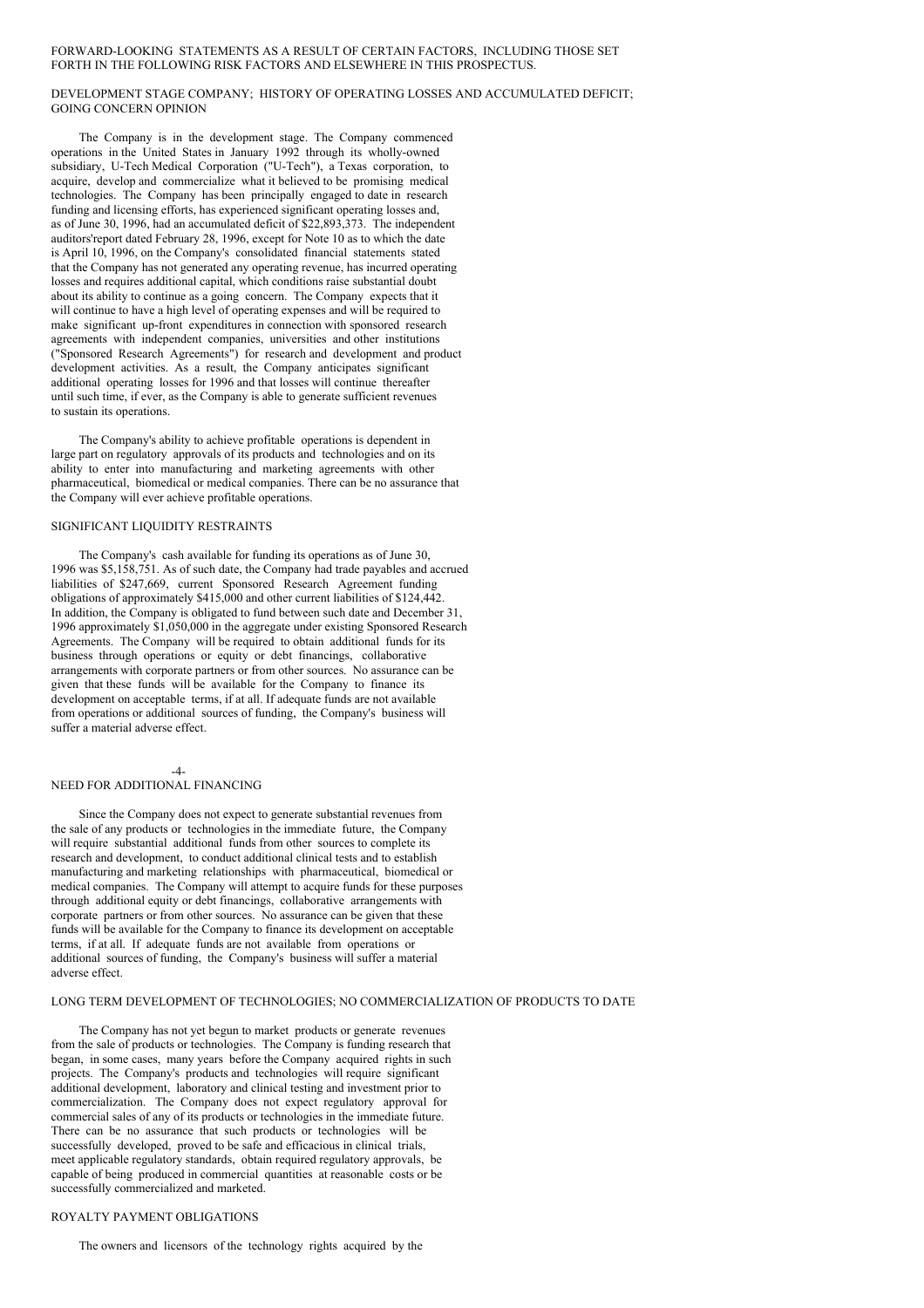### FORWARD-LOOKING STATEMENTS AS A RESULT OF CERTAIN FACTORS, INCLUDING THOSE SET FORTH IN THE FOLLOWING RISK FACTORS AND ELSEWHERE IN THIS PROSPECTUS.

### DEVELOPMENT STAGE COMPANY; HISTORY OF OPERATING LOSSES AND ACCUMULATED DEFICIT; GOING CONCERN OPINION

The Company is in the development stage. The Company commenced operations in the United States in January 1992 through its wholly-owned subsidiary, U-Tech Medical Corporation ("U-Tech"), a Texas corporation, to acquire, develop and commercialize what it believed to be promising medical technologies. The Company has been principally engaged to date in research funding and licensing efforts, has experienced significant operating losses and, as of June 30, 1996, had an accumulated deficit of \$22,893,373. The independent auditors'report dated February 28, 1996, except for Note 10 as to which the date is April 10, 1996, on the Company's consolidated financial statements stated that the Company has not generated any operating revenue, has incurred operating losses and requires additional capital, which conditions raise substantial doubt about its ability to continue as a going concern. The Company expects that it will continue to have a high level of operating expenses and will be required to make significant up-front expenditures in connection with sponsored research agreements with independent companies, universities and other institutions ("Sponsored Research Agreements") for research and development and product development activities. As a result, the Company anticipates significant additional operating losses for 1996 and that losses will continue thereafter until such time, if ever, as the Company is able to generate sufficient revenues to sustain its operations.

The Company's ability to achieve profitable operations is dependent in large part on regulatory approvals of its products and technologies and on its ability to enter into manufacturing and marketing agreements with other pharmaceutical, biomedical or medical companies. There can be no assurance that the Company will ever achieve profitable operations.

#### SIGNIFICANT LIQUIDITY RESTRAINTS

The Company's cash available for funding its operations as of June 30, 1996 was \$5,158,751. As of such date, the Company had trade payables and accrued liabilities of \$247,669, current Sponsored Research Agreement funding obligations of approximately \$415,000 and other current liabilities of \$124,442. In addition, the Company is obligated to fund between such date and December 31, 1996 approximately \$1,050,000 in the aggregate under existing Sponsored Research Agreements. The Company will be required to obtain additional funds for its business through operations or equity or debt financings, collaborative arrangements with corporate partners or from other sources. No assurance can be given that these funds will be available for the Company to finance its development on acceptable terms, if at all. If adequate funds are not available from operations or additional sources of funding, the Company's business will suffer a material adverse effect.

#### -4- NEED FOR ADDITIONAL FINANCING

Since the Company does not expect to generate substantial revenues from the sale of any products or technologies in the immediate future, the Company will require substantial additional funds from other sources to complete its research and development, to conduct additional clinical tests and to establish manufacturing and marketing relationships with pharmaceutical, biomedical or medical companies. The Company will attempt to acquire funds for these purposes through additional equity or debt financings, collaborative arrangements with corporate partners or from other sources. No assurance can be given that these funds will be available for the Company to finance its development on acceptable terms, if at all. If adequate funds are not available from operations or additional sources of funding, the Company's business will suffer a material adverse effect.

# LONG TERM DEVELOPMENT OF TECHNOLOGIES; NO COMMERCIALIZATION OF PRODUCTS TO DATE

The Company has not yet begun to market products or generate revenues from the sale of products or technologies. The Company is funding research that began, in some cases, many years before the Company acquired rights in such projects. The Company's products and technologies will require significant additional development, laboratory and clinical testing and investment prior to commercialization. The Company does not expect regulatory approval for commercial sales of any of its products or technologies in the immediate future. There can be no assurance that such products or technologies will be successfully developed, proved to be safe and efficacious in clinical trials, meet applicable regulatory standards, obtain required regulatory approvals, be capable of being produced in commercial quantities at reasonable costs or be successfully commercialized and marketed.

# ROYALTY PAYMENT OBLIGATIONS

The owners and licensors of the technology rights acquired by the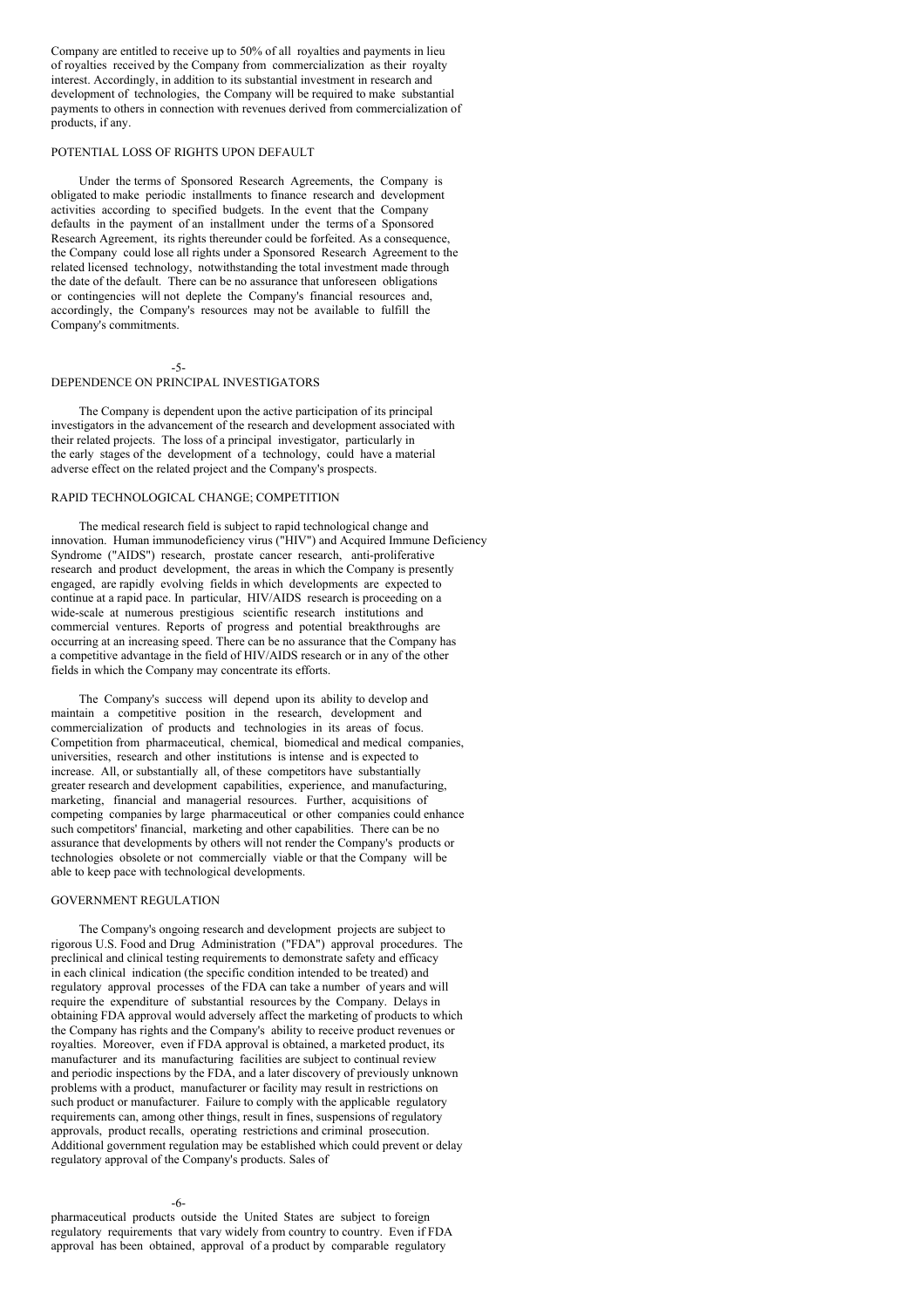Company are entitled to receive up to 50% of all royalties and payments in lieu of royalties received by the Company from commercialization as their royalty interest. Accordingly, in addition to its substantial investment in research and development of technologies, the Company will be required to make substantial payments to others in connection with revenues derived from commercialization of products, if any.

### POTENTIAL LOSS OF RIGHTS UPON DEFAULT

Under the terms of Sponsored Research Agreements, the Company is obligated to make periodic installments to finance research and development activities according to specified budgets. In the event that the Company defaults in the payment of an installment under the terms of a Sponsored Research Agreement, its rights thereunder could be forfeited. As a consequence, the Company could lose all rights under a Sponsored Research Agreement to the related licensed technology, notwithstanding the total investment made through the date of the default. There can be no assurance that unforeseen obligations or contingencies will not deplete the Company's financial resources and, accordingly, the Company's resources may not be available to fulfill the Company's commitments.

# -5- DEPENDENCE ON PRINCIPAL INVESTIGATORS

The Company is dependent upon the active participation of its principal investigators in the advancement of the research and development associated with their related projects. The loss of a principal investigator, particularly in the early stages of the development of a technology, could have a material adverse effect on the related project and the Company's prospects.

### RAPID TECHNOLOGICAL CHANGE; COMPETITION

The medical research field is subject to rapid technological change and innovation. Human immunodeficiency virus ("HIV") and Acquired Immune Deficiency Syndrome ("AIDS") research, prostate cancer research, anti-proliferative research and product development, the areas in which the Company is presently engaged, are rapidly evolving fields in which developments are expected to continue at a rapid pace. In particular, HIV/AIDS research is proceeding on a wide-scale at numerous prestigious scientific research institutions and commercial ventures. Reports of progress and potential breakthroughs are occurring at an increasing speed. There can be no assurance that the Company has a competitive advantage in the field of HIV/AIDS research or in any of the other fields in which the Company may concentrate its efforts.

The Company's success will depend upon its ability to develop and maintain a competitive position in the research, development and commercialization of products and technologies in its areas of focus. Competition from pharmaceutical, chemical, biomedical and medical companies, universities, research and other institutions is intense and is expected to increase. All, or substantially all, of these competitors have substantially greater research and development capabilities, experience, and manufacturing, marketing, financial and managerial resources. Further, acquisitions of competing companies by large pharmaceutical or other companies could enhance such competitors' financial, marketing and other capabilities. There can be no assurance that developments by others will not render the Company's products or technologies obsolete or not commercially viable or that the Company will be able to keep pace with technological developments.

#### GOVERNMENT REGULATION

The Company's ongoing research and development projects are subject to rigorous U.S. Food and Drug Administration ("FDA") approval procedures. The preclinical and clinical testing requirements to demonstrate safety and efficacy in each clinical indication (the specific condition intended to be treated) and regulatory approval processes of the FDA can take a number of years and will require the expenditure of substantial resources by the Company. Delays in obtaining FDA approval would adversely affect the marketing of products to which the Company has rights and the Company's ability to receive product revenues or royalties. Moreover, even if FDA approval is obtained, a marketed product, its manufacturer and its manufacturing facilities are subject to continual review and periodic inspections by the FDA, and a later discovery of previously unknown problems with a product, manufacturer or facility may result in restrictions on such product or manufacturer. Failure to comply with the applicable regulatory requirements can, among other things, result in fines, suspensions of regulatory approvals, product recalls, operating restrictions and criminal prosecution. Additional government regulation may be established which could prevent or delay regulatory approval of the Company's products. Sales of

-6-

pharmaceutical products outside the United States are subject to foreign regulatory requirements that vary widely from country to country. Even if FDA approval has been obtained, approval of a product by comparable regulatory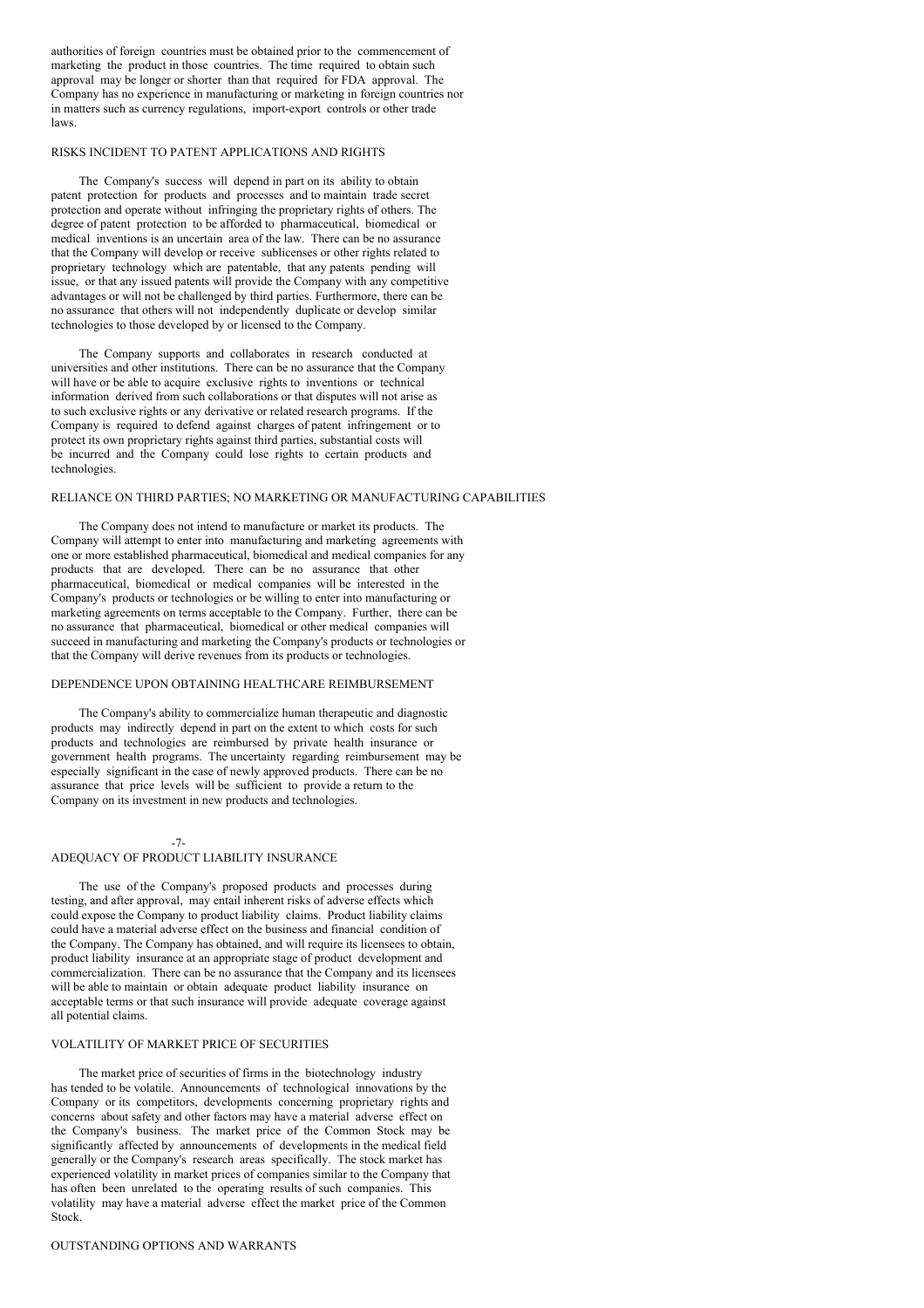authorities of foreign countries must be obtained prior to the commencement of marketing the product in those countries. The time required to obtain such approval may be longer or shorter than that required for FDA approval. The Company has no experience in manufacturing or marketing in foreign countries nor in matters such as currency regulations, import-export controls or other trade laws.

# RISKS INCIDENT TO PATENT APPLICATIONS AND RIGHTS

The Company's success will depend in part on its ability to obtain patent protection for products and processes and to maintain trade secret protection and operate without infringing the proprietary rights of others. The degree of patent protection to be afforded to pharmaceutical, biomedical or medical inventions is an uncertain area of the law. There can be no assurance that the Company will develop or receive sublicenses or other rights related to proprietary technology which are patentable, that any patents pending will issue, or that any issued patents will provide the Company with any competitive advantages or will not be challenged by third parties. Furthermore, there can be no assurance that others will not independently duplicate or develop similar technologies to those developed by or licensed to the Company.

The Company supports and collaborates in research conducted at universities and other institutions. There can be no assurance that the Company will have or be able to acquire exclusive rights to inventions or technical information derived from such collaborations or that disputes will not arise as to such exclusive rights or any derivative or related research programs. If the Company is required to defend against charges of patent infringement or to protect its own proprietary rights against third parties, substantial costs will be incurred and the Company could lose rights to certain products and technologies.

## RELIANCE ON THIRD PARTIES; NO MARKETING OR MANUFACTURING CAPABILITIES

The Company does not intend to manufacture or market its products. The Company will attempt to enter into manufacturing and marketing agreements with one or more established pharmaceutical, biomedical and medical companies for any products that are developed. There can be no assurance that other pharmaceutical, biomedical or medical companies will be interested in the Company's products or technologies or be willing to enter into manufacturing or marketing agreements on terms acceptable to the Company. Further, there can be no assurance that pharmaceutical, biomedical or other medical companies will succeed in manufacturing and marketing the Company's products or technologies or that the Company will derive revenues from its products or technologies.

#### DEPENDENCE UPON OBTAINING HEALTHCARE REIMBURSEMENT

The Company's ability to commercialize human therapeutic and diagnostic products may indirectly depend in part on the extent to which costs for such products and technologies are reimbursed by private health insurance or government health programs. The uncertainty regarding reimbursement may be especially significant in the case of newly approved products. There can be no assurance that price levels will be sufficient to provide a return to the Company on its investment in new products and technologies.

# -7-

# ADEQUACY OF PRODUCT LIABILITY INSURANCE

The use of the Company's proposed products and processes during testing, and after approval, may entail inherent risks of adverse effects which could expose the Company to product liability claims. Product liability claims could have a material adverse effect on the business and financial condition of the Company. The Company has obtained, and will require its licensees to obtain, product liability insurance at an appropriate stage of product development and commercialization. There can be no assurance that the Company and its licensees will be able to maintain or obtain adequate product liability insurance on acceptable terms or that such insurance will provide adequate coverage against all potential claims.

# VOLATILITY OF MARKET PRICE OF SECURITIES

The market price of securities of firms in the biotechnology industry has tended to be volatile. Announcements of technological innovations by the Company or its competitors, developments concerning proprietary rights and concerns about safety and other factors may have a material adverse effect on the Company's business. The market price of the Common Stock may be significantly affected by announcements of developments in the medical field generally or the Company's research areas specifically. The stock market has experienced volatility in market prices of companies similar to the Company that has often been unrelated to the operating results of such companies. This volatility may have a material adverse effect the market price of the Common Stock.

# OUTSTANDING OPTIONS AND WARRANTS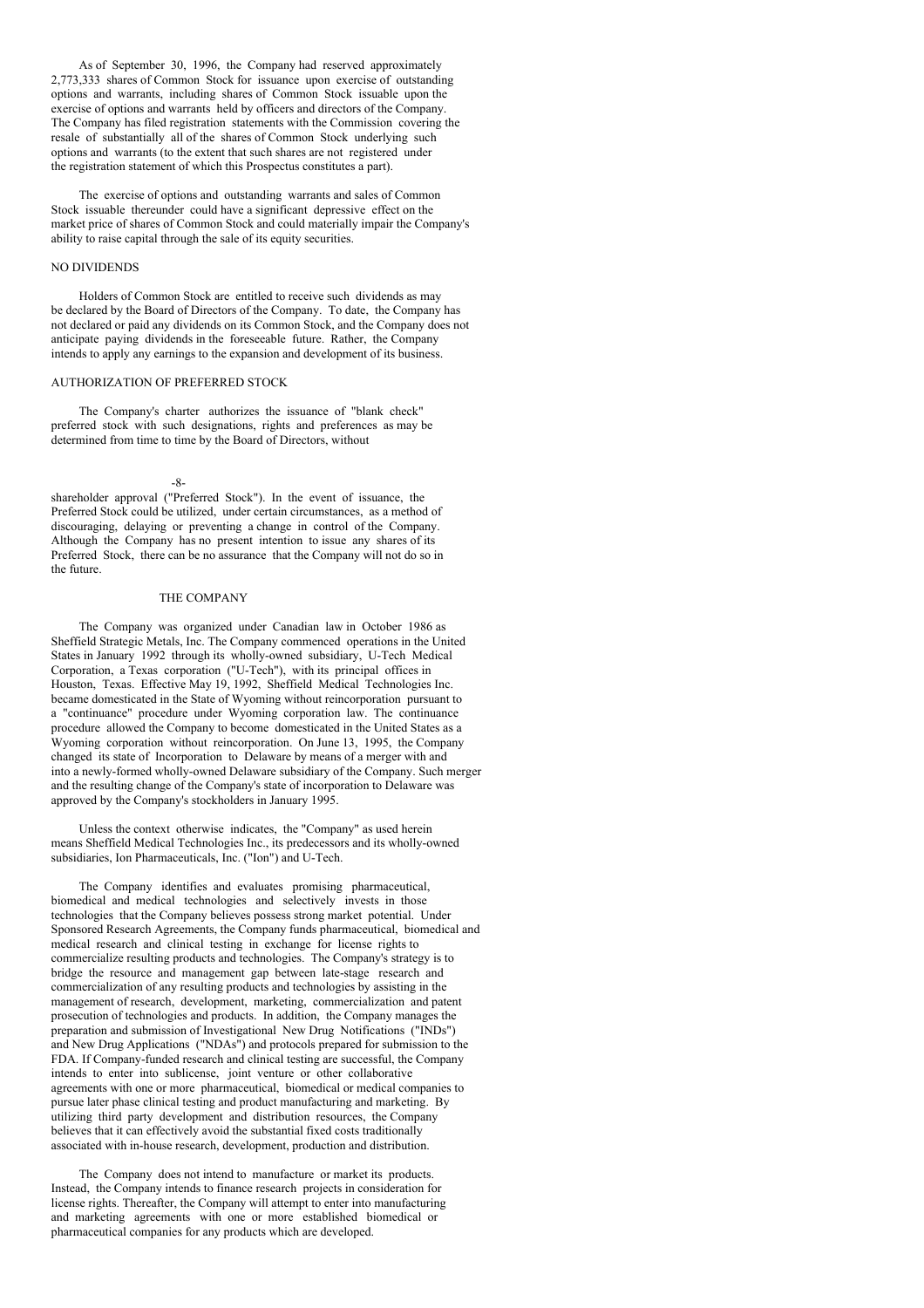As of September 30, 1996, the Company had reserved approximately 2,773,333 shares of Common Stock for issuance upon exercise of outstanding options and warrants, including shares of Common Stock issuable upon the exercise of options and warrants held by officers and directors of the Company. The Company has filed registration statements with the Commission covering the resale of substantially all of the shares of Common Stock underlying such options and warrants (to the extent that such shares are not registered under the registration statement of which this Prospectus constitutes a part).

The exercise of options and outstanding warrants and sales of Common Stock issuable thereunder could have a significant depressive effect on the market price of shares of Common Stock and could materially impair the Company's ability to raise capital through the sale of its equity securities.

# NO DIVIDENDS

Holders of Common Stock are entitled to receive such dividends as may be declared by the Board of Directors of the Company. To date, the Company has not declared or paid any dividends on its Common Stock, and the Company does not anticipate paying dividends in the foreseeable future. Rather, the Company intends to apply any earnings to the expansion and development of its business.

#### AUTHORIZATION OF PREFERRED STOCK

The Company's charter authorizes the issuance of "blank check" preferred stock with such designations, rights and preferences as may be determined from time to time by the Board of Directors, without

-8-

shareholder approval ("Preferred Stock"). In the event of issuance, the Preferred Stock could be utilized, under certain circumstances, as a method of discouraging, delaying or preventing a change in control of the Company. Although the Company has no present intention to issue any shares of its Preferred Stock, there can be no assurance that the Company will not do so in the future.

#### THE COMPANY

The Company was organized under Canadian law in October 1986 as Sheffield Strategic Metals, Inc. The Company commenced operations in the United States in January 1992 through its wholly-owned subsidiary, U-Tech Medical Corporation, a Texas corporation ("U-Tech"), with its principal offices in Houston, Texas. Effective May 19, 1992, Sheffield Medical Technologies Inc. became domesticated in the State of Wyoming without reincorporation pursuant to a "continuance" procedure under Wyoming corporation law. The continuance procedure allowed the Company to become domesticated in the United States as a Wyoming corporation without reincorporation. On June 13, 1995, the Company changed its state of Incorporation to Delaware by means of a merger with and into a newly-formed wholly-owned Delaware subsidiary of the Company. Such merger and the resulting change of the Company's state of incorporation to Delaware was approved by the Company's stockholders in January 1995.

Unless the context otherwise indicates, the "Company" as used herein means Sheffield Medical Technologies Inc., its predecessors and its wholly-owned subsidiaries, Ion Pharmaceuticals, Inc. ("Ion") and U-Tech.

The Company identifies and evaluates promising pharmaceutical, biomedical and medical technologies and selectively invests in those technologies that the Company believes possess strong market potential. Under Sponsored Research Agreements, the Company funds pharmaceutical, biomedical and medical research and clinical testing in exchange for license rights to commercialize resulting products and technologies. The Company's strategy is to bridge the resource and management gap between late-stage research and commercialization of any resulting products and technologies by assisting in the management of research, development, marketing, commercialization and patent prosecution of technologies and products. In addition, the Company manages the preparation and submission of Investigational New Drug Notifications ("INDs") and New Drug Applications ("NDAs") and protocols prepared for submission to the FDA. If Company-funded research and clinical testing are successful, the Company intends to enter into sublicense, joint venture or other collaborative agreements with one or more pharmaceutical, biomedical or medical companies to pursue later phase clinical testing and product manufacturing and marketing. By utilizing third party development and distribution resources, the Company believes that it can effectively avoid the substantial fixed costs traditionally associated with in-house research, development, production and distribution.

The Company does not intend to manufacture or market its products. Instead, the Company intends to finance research projects in consideration for license rights. Thereafter, the Company will attempt to enter into manufacturing and marketing agreements with one or more established biomedical or pharmaceutical companies for any products which are developed.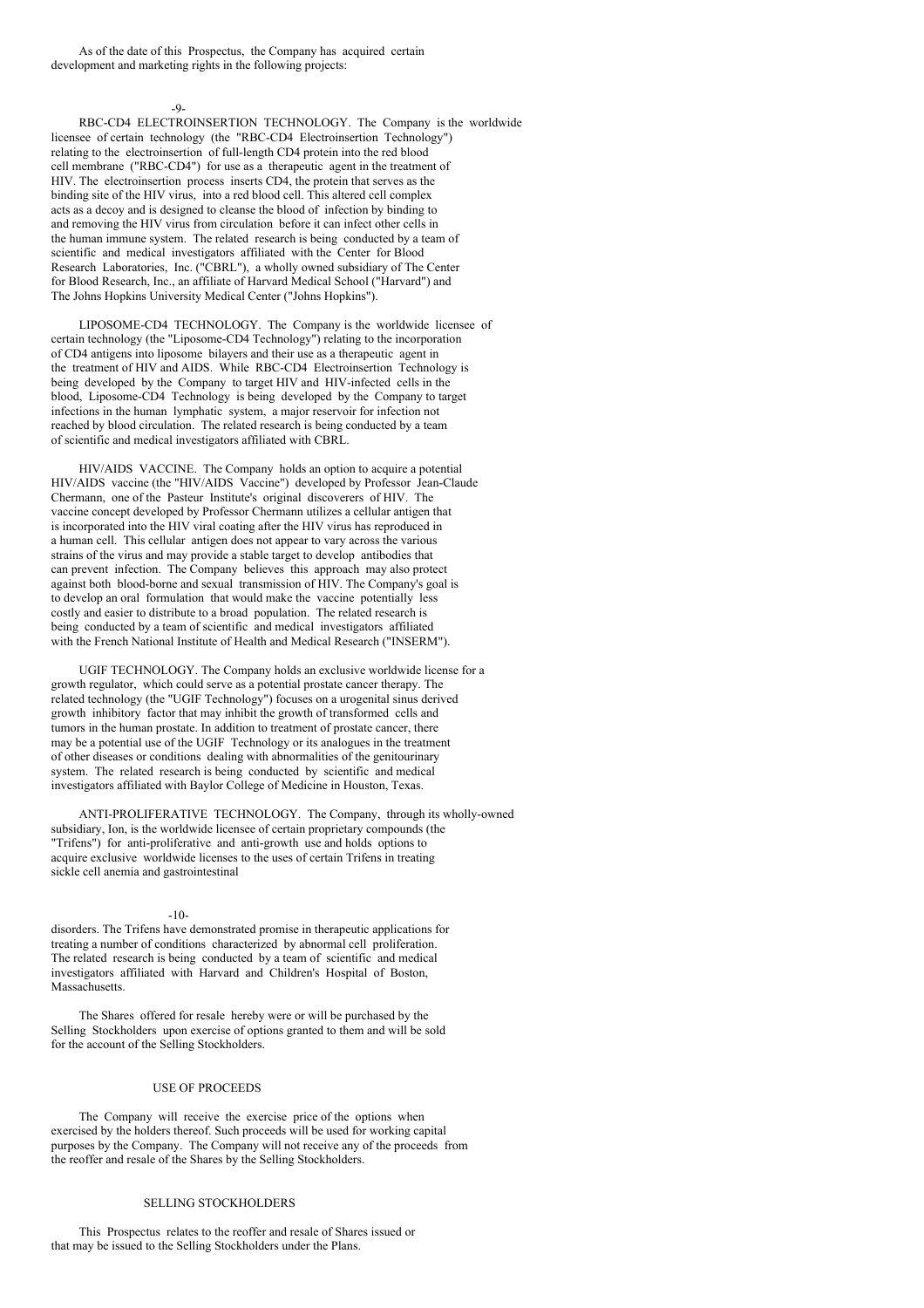As of the date of this Prospectus, the Company has acquired certain development and marketing rights in the following projects:

-9-

RBC-CD4 ELECTROINSERTION TECHNOLOGY. The Company is the worldwide licensee of certain technology (the "RBC-CD4 Electroinsertion Technology") relating to the electroinsertion of full-length CD4 protein into the red blood cell membrane ("RBC-CD4") for use as a therapeutic agent in the treatment of HIV. The electroinsertion process inserts CD4, the protein that serves as the binding site of the HIV virus, into a red blood cell. This altered cell complex acts as a decoy and is designed to cleanse the blood of infection by binding to and removing the HIV virus from circulation before it can infect other cells in the human immune system. The related research is being conducted by a team of scientific and medical investigators affiliated with the Center for Blood Research Laboratories, Inc. ("CBRL"), a wholly owned subsidiary of The Center for Blood Research, Inc., an affiliate of Harvard Medical School ("Harvard") and The Johns Hopkins University Medical Center ("Johns Hopkins").

LIPOSOME-CD4 TECHNOLOGY. The Company is the worldwide licensee of certain technology (the "Liposome-CD4 Technology") relating to the incorporation of CD4 antigens into liposome bilayers and their use as a therapeutic agent in the treatment of HIV and AIDS. While RBC-CD4 Electroinsertion Technology is being developed by the Company to target HIV and HIV-infected cells in the blood, Liposome-CD4 Technology is being developed by the Company to target infections in the human lymphatic system, a major reservoir for infection not reached by blood circulation. The related research is being conducted by a team of scientific and medical investigators affiliated with CBRL.

HIV/AIDS VACCINE. The Company holds an option to acquire a potential HIV/AIDS vaccine (the "HIV/AIDS Vaccine") developed by Professor Jean-Claude Chermann, one of the Pasteur Institute's original discoverers of HIV. The vaccine concept developed by Professor Chermann utilizes a cellular antigen that is incorporated into the HIV viral coating after the HIV virus has reproduced in a human cell. This cellular antigen does not appear to vary across the various strains of the virus and may provide a stable target to develop antibodies that can prevent infection. The Company believes this approach may also protect against both blood-borne and sexual transmission of HIV. The Company's goal is to develop an oral formulation that would make the vaccine potentially less costly and easier to distribute to a broad population. The related research is being conducted by a team of scientific and medical investigators affiliated with the French National Institute of Health and Medical Research ("INSERM").

UGIF TECHNOLOGY. The Company holds an exclusive worldwide license for a growth regulator, which could serve as a potential prostate cancer therapy. The related technology (the "UGIF Technology") focuses on a urogenital sinus derived growth inhibitory factor that may inhibit the growth of transformed cells and tumors in the human prostate. In addition to treatment of prostate cancer, there may be a potential use of the UGIF Technology or its analogues in the treatment of other diseases or conditions dealing with abnormalities of the genitourinary system. The related research is being conducted by scientific and medical investigators affiliated with Baylor College of Medicine in Houston, Texas.

ANTI-PROLIFERATIVE TECHNOLOGY. The Company, through its wholly-owned subsidiary, Ion, is the worldwide licensee of certain proprietary compounds (the "Trifens") for anti-proliferative and anti-growth use and holds options to acquire exclusive worldwide licenses to the uses of certain Trifens in treating sickle cell anemia and gastrointestinal

#### -10-

disorders. The Trifens have demonstrated promise in therapeutic applications for treating a number of conditions characterized by abnormal cell proliferation. The related research is being conducted by a team of scientific and medical investigators affiliated with Harvard and Children's Hospital of Boston, Massachusetts.

The Shares offered for resale hereby were or will be purchased by the Selling Stockholders upon exercise of options granted to them and will be sold for the account of the Selling Stockholders.

#### USE OF PROCEEDS

The Company will receive the exercise price of the options when exercised by the holders thereof. Such proceeds will be used for working capital purposes by the Company. The Company will not receive any of the proceeds from the reoffer and resale of the Shares by the Selling Stockholders.

# SELLING STOCKHOLDERS

This Prospectus relates to the reoffer and resale of Shares issued or that may be issued to the Selling Stockholders under the Plans.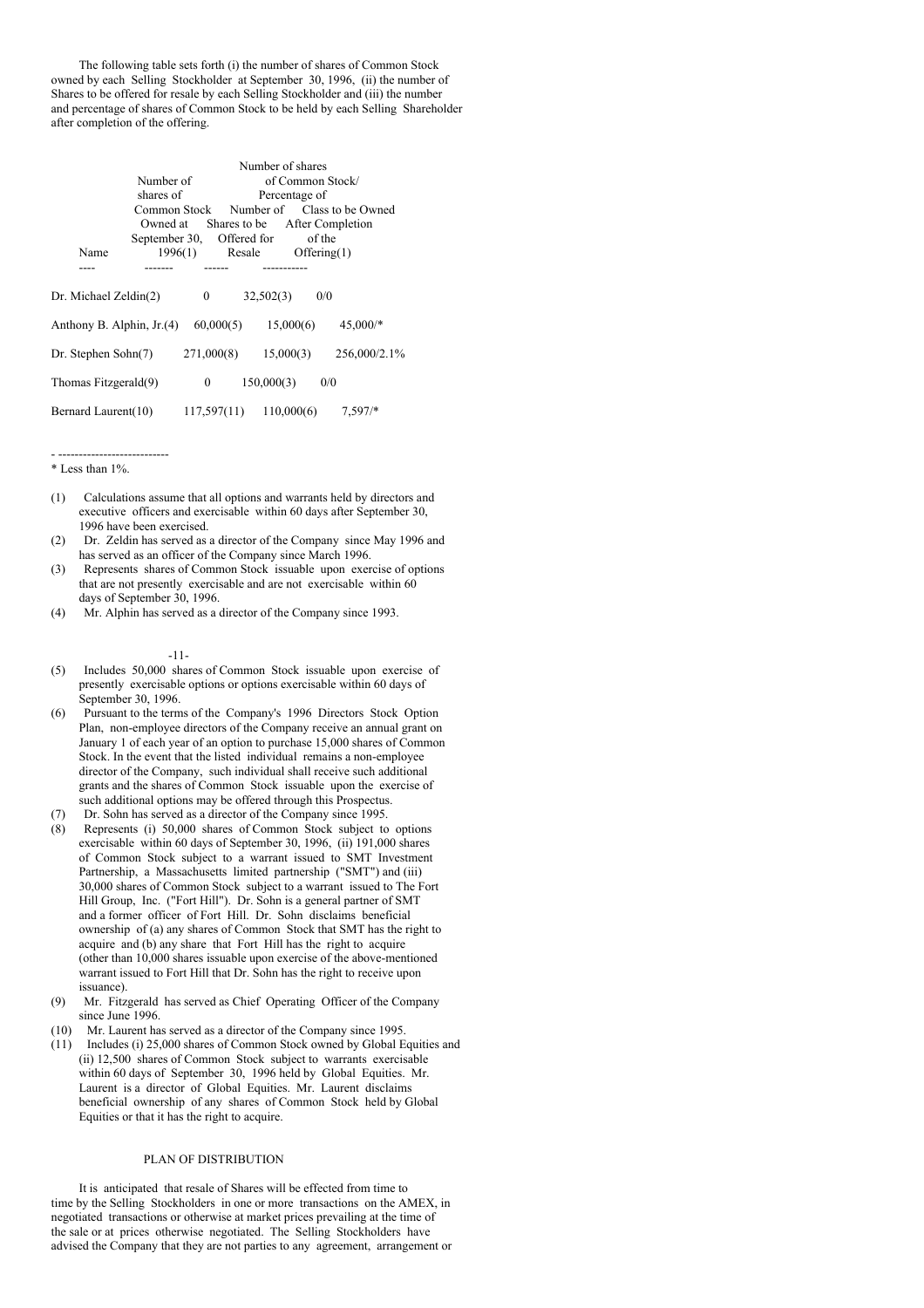The following table sets forth (i) the number of shares of Common Stock owned by each Selling Stockholder at September 30, 1996, (ii) the number of Shares to be offered for resale by each Selling Stockholder and (iii) the number and percentage of shares of Common Stock to be held by each Selling Shareholder after completion of the offering.

|                           | Number of shares |                               |                             |  |  |  |  |  |
|---------------------------|------------------|-------------------------------|-----------------------------|--|--|--|--|--|
|                           | Number of        | of Common Stock/              |                             |  |  |  |  |  |
|                           | shares of        | Percentage of                 |                             |  |  |  |  |  |
|                           | Common Stock     |                               | Number of Class to be Owned |  |  |  |  |  |
|                           | Owned at         | Shares to be After Completion |                             |  |  |  |  |  |
|                           | September 30,    | Offered for                   | of the                      |  |  |  |  |  |
| Name                      | 1996(1)          | Resale                        | Offering(1)                 |  |  |  |  |  |
|                           |                  |                               |                             |  |  |  |  |  |
| Dr. Michael Zeldin(2)     | 0                | 32,502(3)                     | 0/0                         |  |  |  |  |  |
| Anthony B. Alphin, Jr.(4) | 60,000(5)        | 15,000(6)                     | $45,000$ /*                 |  |  |  |  |  |
| Dr. Stephen Sohn(7)       | 271,000(8)       | 15,000(3)                     | 256,000/2.1%                |  |  |  |  |  |
| Thomas Fitzgerald(9)      | 0                | 150,000(3)                    | 0/0                         |  |  |  |  |  |
| Bernard Laurent(10)       | 117,597(11)      | 110,000(6)                    | $7,597/*$                   |  |  |  |  |  |

- --------------------------- \* Less than 1%.

- (1) Calculations assume that all options and warrants held by directors and executive officers and exercisable within 60 days after September 30, 1996 have been exercised.
- (2) Dr. Zeldin has served as a director of the Company since May 1996 and has served as an officer of the Company since March 1996.
- (3) Represents shares of Common Stock issuable upon exercise of options that are not presently exercisable and are not exercisable within 60 days of September 30, 1996.
- (4) Mr. Alphin has served as a director of the Company since 1993.

#### -11-

- (5) Includes 50,000 shares of Common Stock issuable upon exercise of presently exercisable options or options exercisable within 60 days of September 30, 1996.
- (6) Pursuant to the terms of the Company's 1996 Directors Stock Option Plan, non-employee directors of the Company receive an annual grant on January 1 of each year of an option to purchase 15,000 shares of Common Stock. In the event that the listed individual remains a non-employee director of the Company, such individual shall receive such additional grants and the shares of Common Stock issuable upon the exercise of such additional options may be offered through this Prospectus.

(7) Dr. Sohn has served as a director of the Company since 1995.

- Represents (i) 50,000 shares of Common Stock subject to options exercisable within 60 days of September 30, 1996, (ii) 191,000 shares of Common Stock subject to a warrant issued to SMT Investment Partnership, a Massachusetts limited partnership ("SMT") and (iii) 30,000 shares of Common Stock subject to a warrant issued to The Fort Hill Group, Inc. ("Fort Hill"). Dr. Sohn is a general partner of SMT and a former officer of Fort Hill. Dr. Sohn disclaims beneficial ownership of (a) any shares of Common Stock that SMT has the right to acquire and (b) any share that Fort Hill has the right to acquire (other than 10,000 shares issuable upon exercise of the above-mentioned warrant issued to Fort Hill that Dr. Sohn has the right to receive upon issuance).
- (9) Mr. Fitzgerald has served as Chief Operating Officer of the Company since June 1996.
- (10) Mr. Laurent has served as a director of the Company since 1995.
- (11) Includes (i) 25,000 shares of Common Stock owned by Global Equities and (ii) 12,500 shares of Common Stock subject to warrants exercisable within 60 days of September 30, 1996 held by Global Equities. Mr. Laurent is a director of Global Equities. Mr. Laurent disclaims beneficial ownership of any shares of Common Stock held by Global Equities or that it has the right to acquire.

#### PLAN OF DISTRIBUTION

It is anticipated that resale of Shares will be effected from time to time by the Selling Stockholders in one or more transactions on the AMEX, in negotiated transactions or otherwise at market prices prevailing at the time of the sale or at prices otherwise negotiated. The Selling Stockholders have advised the Company that they are not parties to any agreement, arrangement or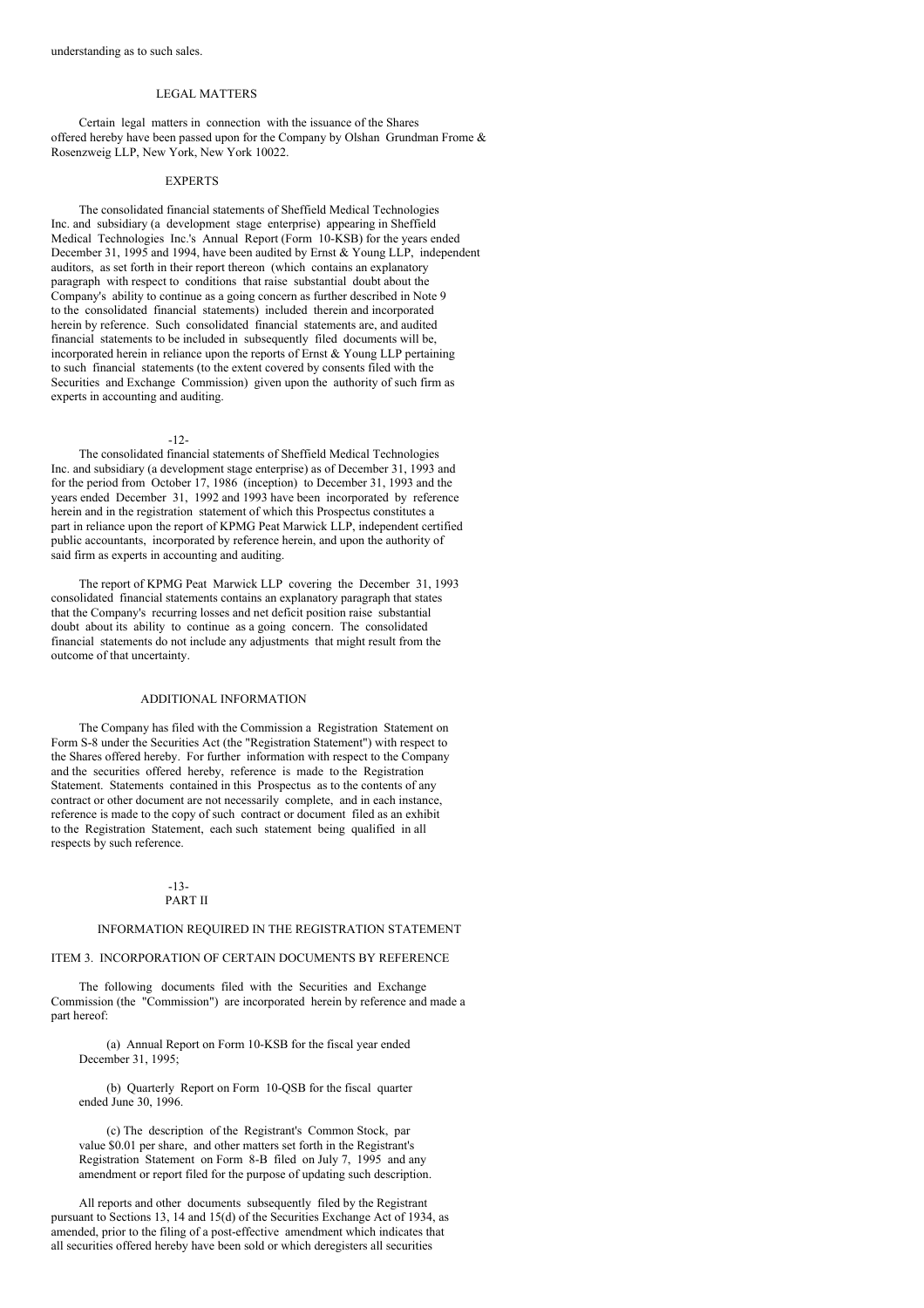#### LEGAL MATTERS

Certain legal matters in connection with the issuance of the Shares offered hereby have been passed upon for the Company by Olshan Grundman Frome & Rosenzweig LLP, New York, New York 10022.

### EXPERTS

The consolidated financial statements of Sheffield Medical Technologies Inc. and subsidiary (a development stage enterprise) appearing in Sheffield Medical Technologies Inc.'s Annual Report (Form 10-KSB) for the years ended December 31, 1995 and 1994, have been audited by Ernst & Young LLP, independent auditors, as set forth in their report thereon (which contains an explanatory paragraph with respect to conditions that raise substantial doubt about the Company's ability to continue as a going concern as further described in Note 9 to the consolidated financial statements) included therein and incorporated herein by reference. Such consolidated financial statements are, and audited financial statements to be included in subsequently filed documents will be, incorporated herein in reliance upon the reports of Ernst & Young LLP pertaining to such financial statements (to the extent covered by consents filed with the Securities and Exchange Commission) given upon the authority of such firm as experts in accounting and auditing.

#### -12-

The consolidated financial statements of Sheffield Medical Technologies Inc. and subsidiary (a development stage enterprise) as of December 31, 1993 and for the period from October 17, 1986 (inception) to December 31, 1993 and the years ended December 31, 1992 and 1993 have been incorporated by reference herein and in the registration statement of which this Prospectus constitutes a part in reliance upon the report of KPMG Peat Marwick LLP, independent certified public accountants, incorporated by reference herein, and upon the authority of said firm as experts in accounting and auditing.

The report of KPMG Peat Marwick LLP covering the December 31, 1993 consolidated financial statements contains an explanatory paragraph that states that the Company's recurring losses and net deficit position raise substantial doubt about its ability to continue as a going concern. The consolidated financial statements do not include any adjustments that might result from the outcome of that uncertainty.

#### ADDITIONAL INFORMATION

The Company has filed with the Commission a Registration Statement on Form S-8 under the Securities Act (the "Registration Statement") with respect to the Shares offered hereby. For further information with respect to the Company and the securities offered hereby, reference is made to the Registration Statement. Statements contained in this Prospectus as to the contents of any contract or other document are not necessarily complete, and in each instance, reference is made to the copy of such contract or document filed as an exhibit to the Registration Statement, each such statement being qualified in all respects by such reference.

#### -13- PART II

### INFORMATION REQUIRED IN THE REGISTRATION STATEMENT

# ITEM 3. INCORPORATION OF CERTAIN DOCUMENTS BY REFERENCE

The following documents filed with the Securities and Exchange Commission (the "Commission") are incorporated herein by reference and made a part hereof:

(a) Annual Report on Form 10-KSB for the fiscal year ended December 31, 1995;

(b) Quarterly Report on Form 10-QSB for the fiscal quarter ended June 30, 1996.

(c) The description of the Registrant's Common Stock, par value \$0.01 per share, and other matters set forth in the Registrant's Registration Statement on Form 8-B filed on July 7, 1995 and any amendment or report filed for the purpose of updating such description.

All reports and other documents subsequently filed by the Registrant pursuant to Sections 13, 14 and 15(d) of the Securities Exchange Act of 1934, as amended, prior to the filing of a post-effective amendment which indicates that all securities offered hereby have been sold or which deregisters all securities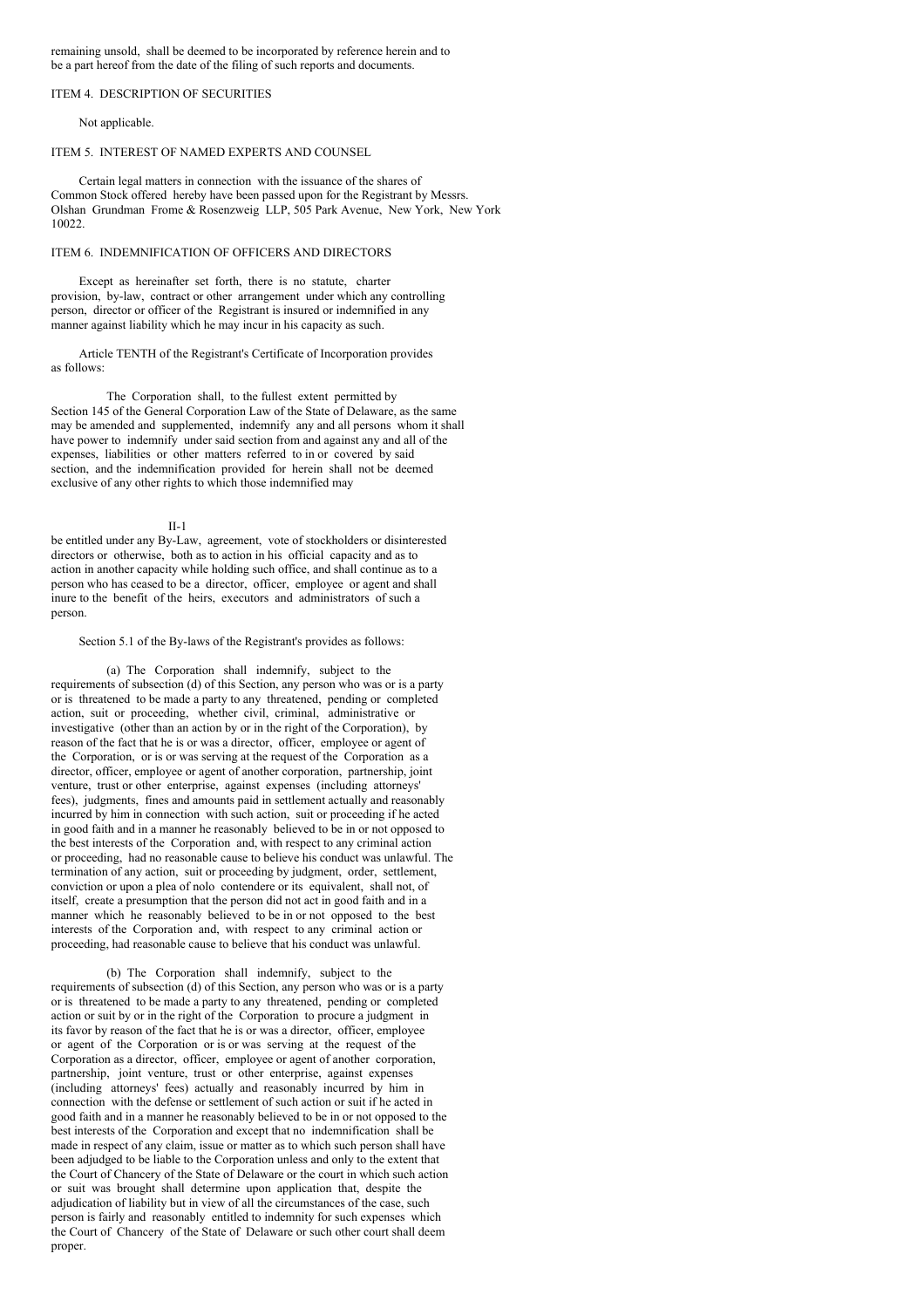remaining unsold, shall be deemed to be incorporated by reference herein and to be a part hereof from the date of the filing of such reports and documents.

### ITEM 4. DESCRIPTION OF SECURITIES

Not applicable.

### ITEM 5. INTEREST OF NAMED EXPERTS AND COUNSEL

Certain legal matters in connection with the issuance of the shares of Common Stock offered hereby have been passed upon for the Registrant by Messrs. Olshan Grundman Frome & Rosenzweig LLP, 505 Park Avenue, New York, New York 10022.

# ITEM 6. INDEMNIFICATION OF OFFICERS AND DIRECTORS

Except as hereinafter set forth, there is no statute, charter provision, by-law, contract or other arrangement under which any controlling person, director or officer of the Registrant is insured or indemnified in any manner against liability which he may incur in his capacity as such.

Article TENTH of the Registrant's Certificate of Incorporation provides as follows:

The Corporation shall, to the fullest extent permitted by Section 145 of the General Corporation Law of the State of Delaware, as the same may be amended and supplemented, indemnify any and all persons whom it shall have power to indemnify under said section from and against any and all of the expenses, liabilities or other matters referred to in or covered by said section, and the indemnification provided for herein shall not be deemed exclusive of any other rights to which those indemnified may

II-1

be entitled under any By-Law, agreement, vote of stockholders or disinterested directors or otherwise, both as to action in his official capacity and as to action in another capacity while holding such office, and shall continue as to a person who has ceased to be a director, officer, employee or agent and shall inure to the benefit of the heirs, executors and administrators of such a person.

# Section 5.1 of the By-laws of the Registrant's provides as follows:

(a) The Corporation shall indemnify, subject to the requirements of subsection (d) of this Section, any person who was or is a party or is threatened to be made a party to any threatened, pending or completed action, suit or proceeding, whether civil, criminal, administrative or investigative (other than an action by or in the right of the Corporation), by reason of the fact that he is or was a director, officer, employee or agent of the Corporation, or is or was serving at the request of the Corporation as a director, officer, employee or agent of another corporation, partnership, joint venture, trust or other enterprise, against expenses (including attorneys' fees), judgments, fines and amounts paid in settlement actually and reasonably incurred by him in connection with such action, suit or proceeding if he acted in good faith and in a manner he reasonably believed to be in or not opposed to the best interests of the Corporation and, with respect to any criminal action or proceeding, had no reasonable cause to believe his conduct was unlawful. The termination of any action, suit or proceeding by judgment, order, settlement, conviction or upon a plea of nolo contendere or its equivalent, shall not, of itself, create a presumption that the person did not act in good faith and in a manner which he reasonably believed to be in or not opposed to the best interests of the Corporation and, with respect to any criminal action or proceeding, had reasonable cause to believe that his conduct was unlawful.

(b) The Corporation shall indemnify, subject to the requirements of subsection (d) of this Section, any person who was or is a party or is threatened to be made a party to any threatened, pending or completed action or suit by or in the right of the Corporation to procure a judgment in its favor by reason of the fact that he is or was a director, officer, employee or agent of the Corporation or is or was serving at the request of the Corporation as a director, officer, employee or agent of another corporation, partnership, joint venture, trust or other enterprise, against expenses (including attorneys' fees) actually and reasonably incurred by him in connection with the defense or settlement of such action or suit if he acted in good faith and in a manner he reasonably believed to be in or not opposed to the best interests of the Corporation and except that no indemnification shall be made in respect of any claim, issue or matter as to which such person shall have been adjudged to be liable to the Corporation unless and only to the extent that the Court of Chancery of the State of Delaware or the court in which such action or suit was brought shall determine upon application that, despite the adjudication of liability but in view of all the circumstances of the case, such person is fairly and reasonably entitled to indemnity for such expenses which the Court of Chancery of the State of Delaware or such other court shall deem proper.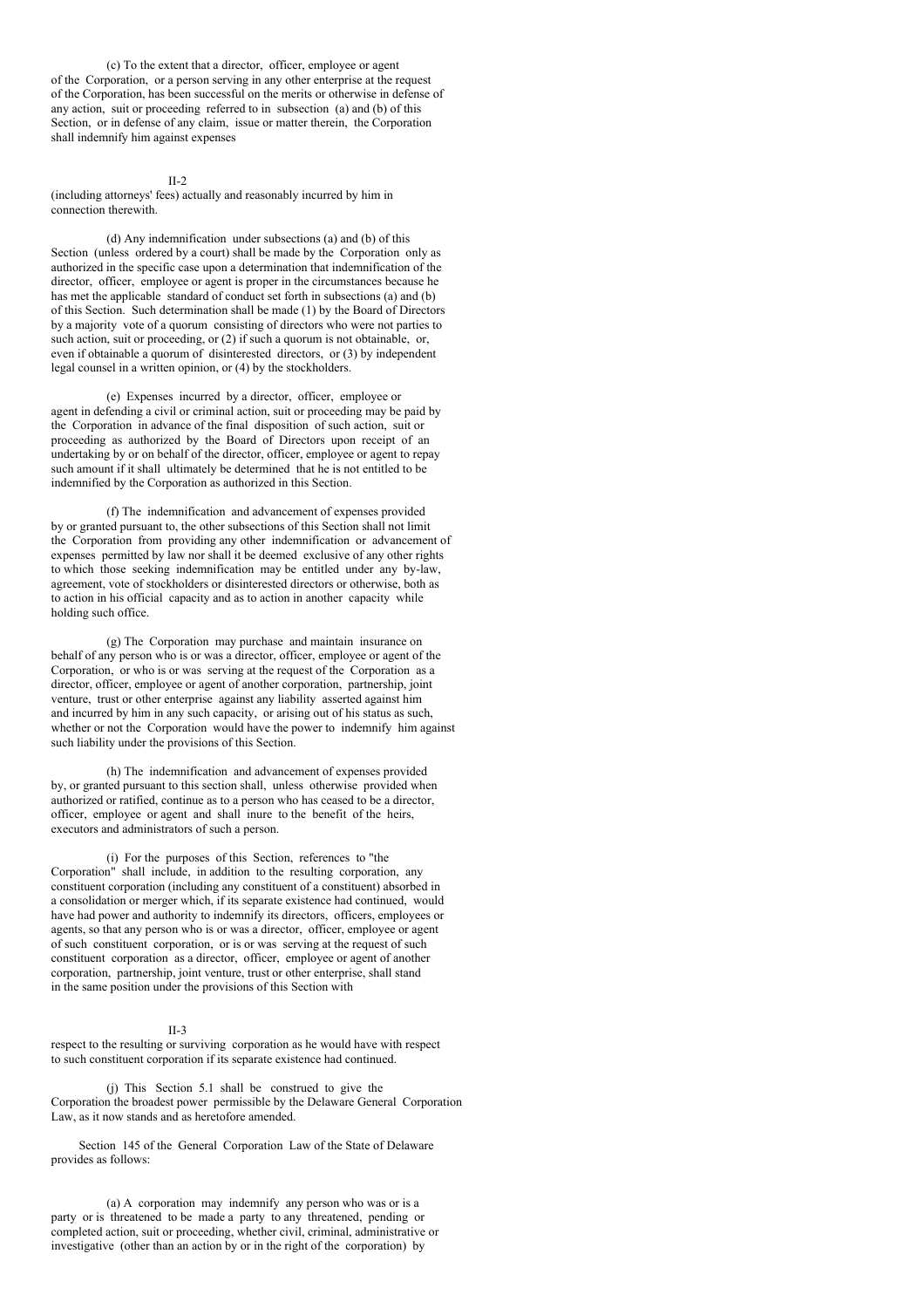(c) To the extent that a director, officer, employee or agent of the Corporation, or a person serving in any other enterprise at the request of the Corporation, has been successful on the merits or otherwise in defense of any action, suit or proceeding referred to in subsection (a) and (b) of this Section, or in defense of any claim, issue or matter therein, the Corporation shall indemnify him against expenses

## II-2

(including attorneys' fees) actually and reasonably incurred by him in connection therewith.

(d) Any indemnification under subsections (a) and (b) of this Section (unless ordered by a court) shall be made by the Corporation only as authorized in the specific case upon a determination that indemnification of the director, officer, employee or agent is proper in the circumstances because he has met the applicable standard of conduct set forth in subsections (a) and (b) of this Section. Such determination shall be made (1) by the Board of Directors by a majority vote of a quorum consisting of directors who were not parties to such action, suit or proceeding, or (2) if such a quorum is not obtainable, or, even if obtainable a quorum of disinterested directors, or (3) by independent legal counsel in a written opinion, or (4) by the stockholders.

(e) Expenses incurred by a director, officer, employee or agent in defending a civil or criminal action, suit or proceeding may be paid by the Corporation in advance of the final disposition of such action, suit or proceeding as authorized by the Board of Directors upon receipt of an undertaking by or on behalf of the director, officer, employee or agent to repay such amount if it shall ultimately be determined that he is not entitled to be indemnified by the Corporation as authorized in this Section.

(f) The indemnification and advancement of expenses provided by or granted pursuant to, the other subsections of this Section shall not limit the Corporation from providing any other indemnification or advancement of expenses permitted by law nor shall it be deemed exclusive of any other rights to which those seeking indemnification may be entitled under any by-law, agreement, vote of stockholders or disinterested directors or otherwise, both as to action in his official capacity and as to action in another capacity while holding such office.

(g) The Corporation may purchase and maintain insurance on behalf of any person who is or was a director, officer, employee or agent of the Corporation, or who is or was serving at the request of the Corporation as a director, officer, employee or agent of another corporation, partnership, joint venture, trust or other enterprise against any liability asserted against him and incurred by him in any such capacity, or arising out of his status as such, whether or not the Corporation would have the power to indemnify him against such liability under the provisions of this Section.

(h) The indemnification and advancement of expenses provided by, or granted pursuant to this section shall, unless otherwise provided when authorized or ratified, continue as to a person who has ceased to be a director, officer, employee or agent and shall inure to the benefit of the heirs, executors and administrators of such a person.

(i) For the purposes of this Section, references to "the Corporation" shall include, in addition to the resulting corporation, any constituent corporation (including any constituent of a constituent) absorbed in a consolidation or merger which, if its separate existence had continued, would have had power and authority to indemnify its directors, officers, employees or agents, so that any person who is or was a director, officer, employee or agent of such constituent corporation, or is or was serving at the request of such constituent corporation as a director, officer, employee or agent of another corporation, partnership, joint venture, trust or other enterprise, shall stand in the same position under the provisions of this Section with

# II-3

respect to the resulting or surviving corporation as he would have with respect to such constituent corporation if its separate existence had continued.

(j) This Section 5.1 shall be construed to give the Corporation the broadest power permissible by the Delaware General Corporation Law, as it now stands and as heretofore amended.

Section 145 of the General Corporation Law of the State of Delaware provides as follows:

(a) A corporation may indemnify any person who was or is a party or is threatened to be made a party to any threatened, pending or completed action, suit or proceeding, whether civil, criminal, administrative or investigative (other than an action by or in the right of the corporation) by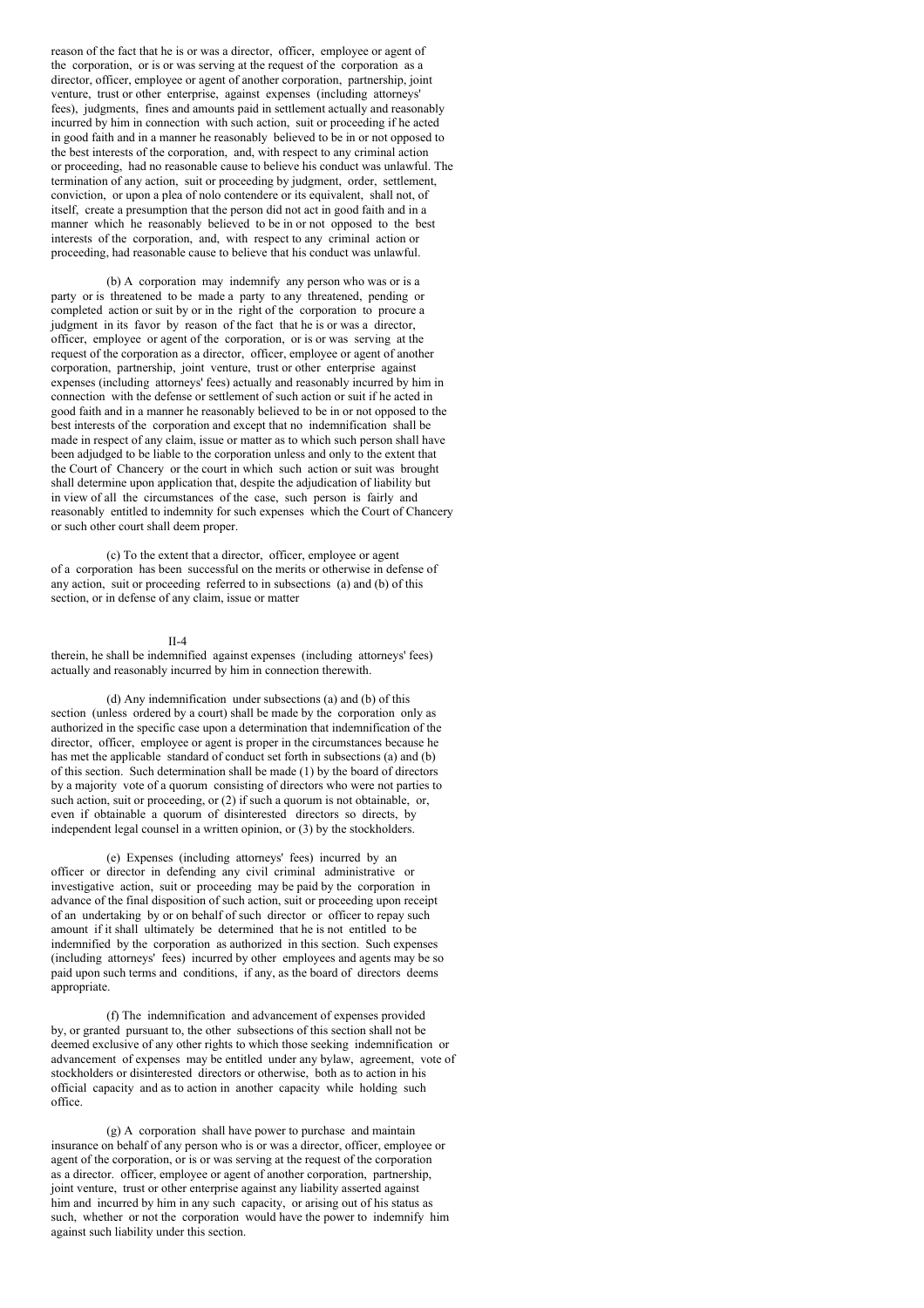reason of the fact that he is or was a director, officer, employee or agent of the corporation, or is or was serving at the request of the corporation as a director, officer, employee or agent of another corporation, partnership, joint venture, trust or other enterprise, against expenses (including attorneys' fees), judgments, fines and amounts paid in settlement actually and reasonably incurred by him in connection with such action, suit or proceeding if he acted in good faith and in a manner he reasonably believed to be in or not opposed to the best interests of the corporation, and, with respect to any criminal action or proceeding, had no reasonable cause to believe his conduct was unlawful. The termination of any action, suit or proceeding by judgment, order, settlement, conviction, or upon a plea of nolo contendere or its equivalent, shall not, of itself, create a presumption that the person did not act in good faith and in a manner which he reasonably believed to be in or not opposed to the best interests of the corporation, and, with respect to any criminal action or proceeding, had reasonable cause to believe that his conduct was unlawful.

(b) A corporation may indemnify any person who was or is a party or is threatened to be made a party to any threatened, pending or completed action or suit by or in the right of the corporation to procure a judgment in its favor by reason of the fact that he is or was a director, officer, employee or agent of the corporation, or is or was serving at the request of the corporation as a director, officer, employee or agent of another corporation, partnership, joint venture, trust or other enterprise against expenses (including attorneys' fees) actually and reasonably incurred by him in connection with the defense or settlement of such action or suit if he acted in good faith and in a manner he reasonably believed to be in or not opposed to the best interests of the corporation and except that no indemnification shall be made in respect of any claim, issue or matter as to which such person shall have been adjudged to be liable to the corporation unless and only to the extent that the Court of Chancery or the court in which such action or suit was brought shall determine upon application that, despite the adjudication of liability but in view of all the circumstances of the case, such person is fairly and reasonably entitled to indemnity for such expenses which the Court of Chancery or such other court shall deem proper.

(c) To the extent that a director, officer, employee or agent of a corporation has been successful on the merits or otherwise in defense of any action, suit or proceeding referred to in subsections (a) and (b) of this section, or in defense of any claim, issue or matter

#### II-4

therein, he shall be indemnified against expenses (including attorneys' fees) actually and reasonably incurred by him in connection therewith.

(d) Any indemnification under subsections (a) and (b) of this section (unless ordered by a court) shall be made by the corporation only as authorized in the specific case upon a determination that indemnification of the director, officer, employee or agent is proper in the circumstances because he has met the applicable standard of conduct set forth in subsections (a) and (b) of this section. Such determination shall be made (1) by the board of directors by a majority vote of a quorum consisting of directors who were not parties to such action, suit or proceeding, or (2) if such a quorum is not obtainable, or, even if obtainable a quorum of disinterested directors so directs, by independent legal counsel in a written opinion, or (3) by the stockholders.

(e) Expenses (including attorneys' fees) incurred by an officer or director in defending any civil criminal administrative or investigative action, suit or proceeding may be paid by the corporation in advance of the final disposition of such action, suit or proceeding upon receipt of an undertaking by or on behalf of such director or officer to repay such amount if it shall ultimately be determined that he is not entitled to be indemnified by the corporation as authorized in this section. Such expenses (including attorneys' fees) incurred by other employees and agents may be so paid upon such terms and conditions, if any, as the board of directors deems appropriate.

(f) The indemnification and advancement of expenses provided by, or granted pursuant to, the other subsections of this section shall not be deemed exclusive of any other rights to which those seeking indemnification or advancement of expenses may be entitled under any bylaw, agreement, vote of stockholders or disinterested directors or otherwise, both as to action in his official capacity and as to action in another capacity while holding such office.

(g) A corporation shall have power to purchase and maintain insurance on behalf of any person who is or was a director, officer, employee or agent of the corporation, or is or was serving at the request of the corporation as a director. officer, employee or agent of another corporation, partnership, joint venture, trust or other enterprise against any liability asserted against him and incurred by him in any such capacity, or arising out of his status as such, whether or not the corporation would have the power to indemnify him against such liability under this section.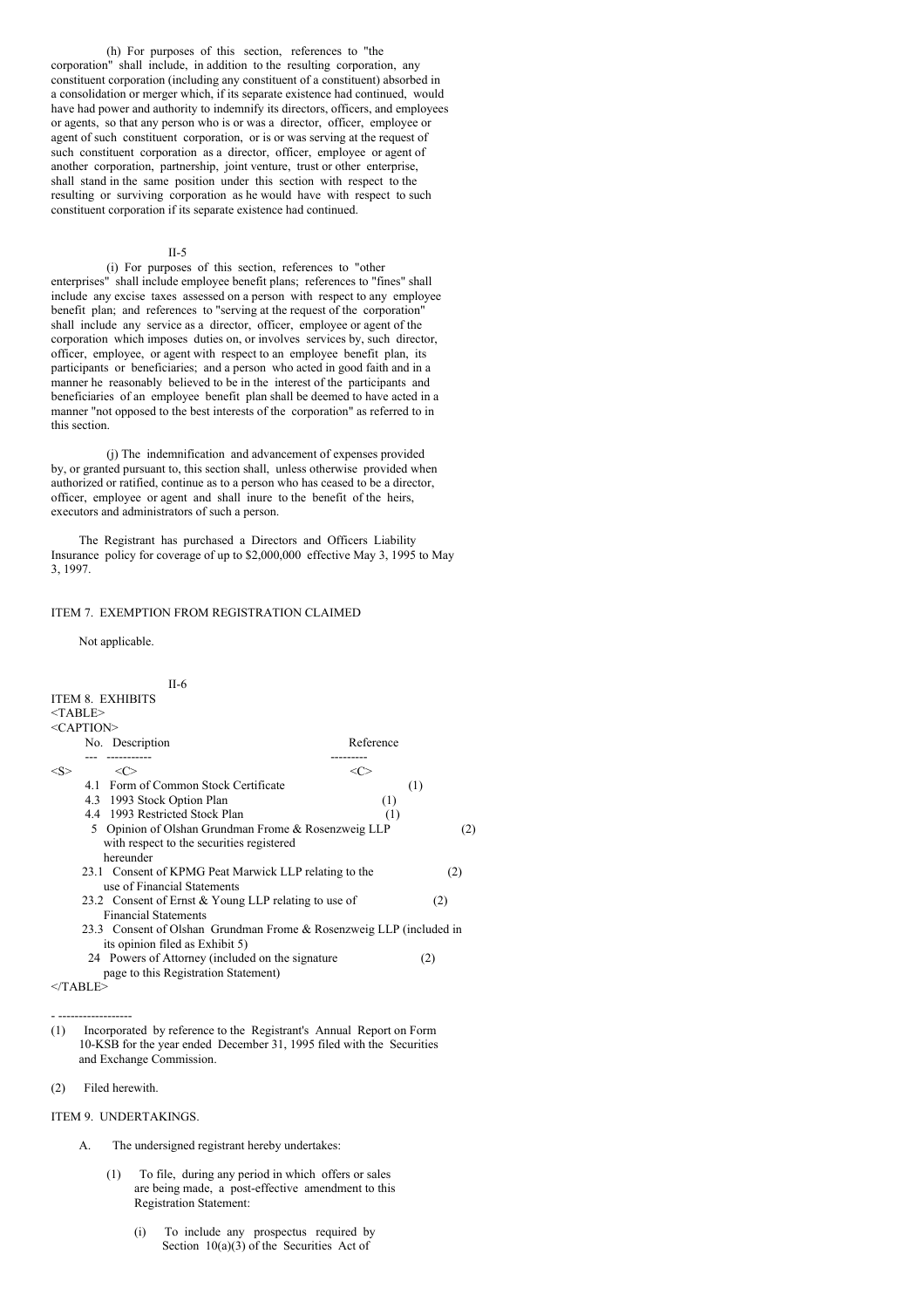(h) For purposes of this section, references to "the corporation" shall include, in addition to the resulting corporation, any constituent corporation (including any constituent of a constituent) absorbed in a consolidation or merger which, if its separate existence had continued, would have had power and authority to indemnify its directors, officers, and employees or agents, so that any person who is or was a director, officer, employee or agent of such constituent corporation, or is or was serving at the request of such constituent corporation as a director, officer, employee or agent of another corporation, partnership, joint venture, trust or other enterprise, shall stand in the same position under this section with respect to the resulting or surviving corporation as he would have with respect to such constituent corporation if its separate existence had continued.

#### II-5

(i) For purposes of this section, references to "other enterprises" shall include employee benefit plans; references to "fines" shall include any excise taxes assessed on a person with respect to any employee benefit plan; and references to "serving at the request of the corporation" shall include any service as a director, officer, employee or agent of the corporation which imposes duties on, or involves services by, such director, officer, employee, or agent with respect to an employee benefit plan, its participants or beneficiaries; and a person who acted in good faith and in a manner he reasonably believed to be in the interest of the participants and beneficiaries of an employee benefit plan shall be deemed to have acted in a manner "not opposed to the best interests of the corporation" as referred to in this section.

(j) The indemnification and advancement of expenses provided by, or granted pursuant to, this section shall, unless otherwise provided when authorized or ratified, continue as to a person who has ceased to be a director, officer, employee or agent and shall inure to the benefit of the heirs, executors and administrators of such a person.

The Registrant has purchased a Directors and Officers Liability Insurance policy for coverage of up to \$2,000,000 effective May 3, 1995 to May 3, 1997.

# ITEM 7. EXEMPTION FROM REGISTRATION CLAIMED

### Not applicable.

### II-6 ITEM 8. EXHIBITS  $<$ TABLE> <CAPTION> No. Description Reference  $\langle S \rangle$   $\langle C \rangle$   $\langle C \rangle$ 4.1 Form of Common Stock Certificate (1)<br>4.3 1993 Stock Option Plan (1) 4.3 1993 Stock Option Plan 4.4 1993 Restricted Stock Plan (1) 5 Opinion of Olshan Grundman Frome & Rosenzweig LLP (2) with respect to the securities registered hereunder 23.1 Consent of KPMG Peat Marwick LLP relating to the (2) use of Financial Statements 23.2 Consent of Ernst & Young LLP relating to use of (2) Financial Statements 23.3 Consent of Olshan Grundman Frome & Rosenzweig LLP (included in its opinion filed as Exhibit 5)

24 Powers of Attorney (included on the signature (2) page to this Registration Statement)

 $\leq$ TABLE>

- ------------------

# ITEM 9. UNDERTAKINGS.

- A. The undersigned registrant hereby undertakes:
	- (1) To file, during any period in which offers or sales are being made, a post-effective amendment to this Registration Statement:
		- (i) To include any prospectus required by Section  $10(a)(3)$  of the Securities Act of

<sup>(1)</sup> Incorporated by reference to the Registrant's Annual Report on Form 10-KSB for the year ended December 31, 1995 filed with the Securities and Exchange Commission.

<sup>(2)</sup> Filed herewith.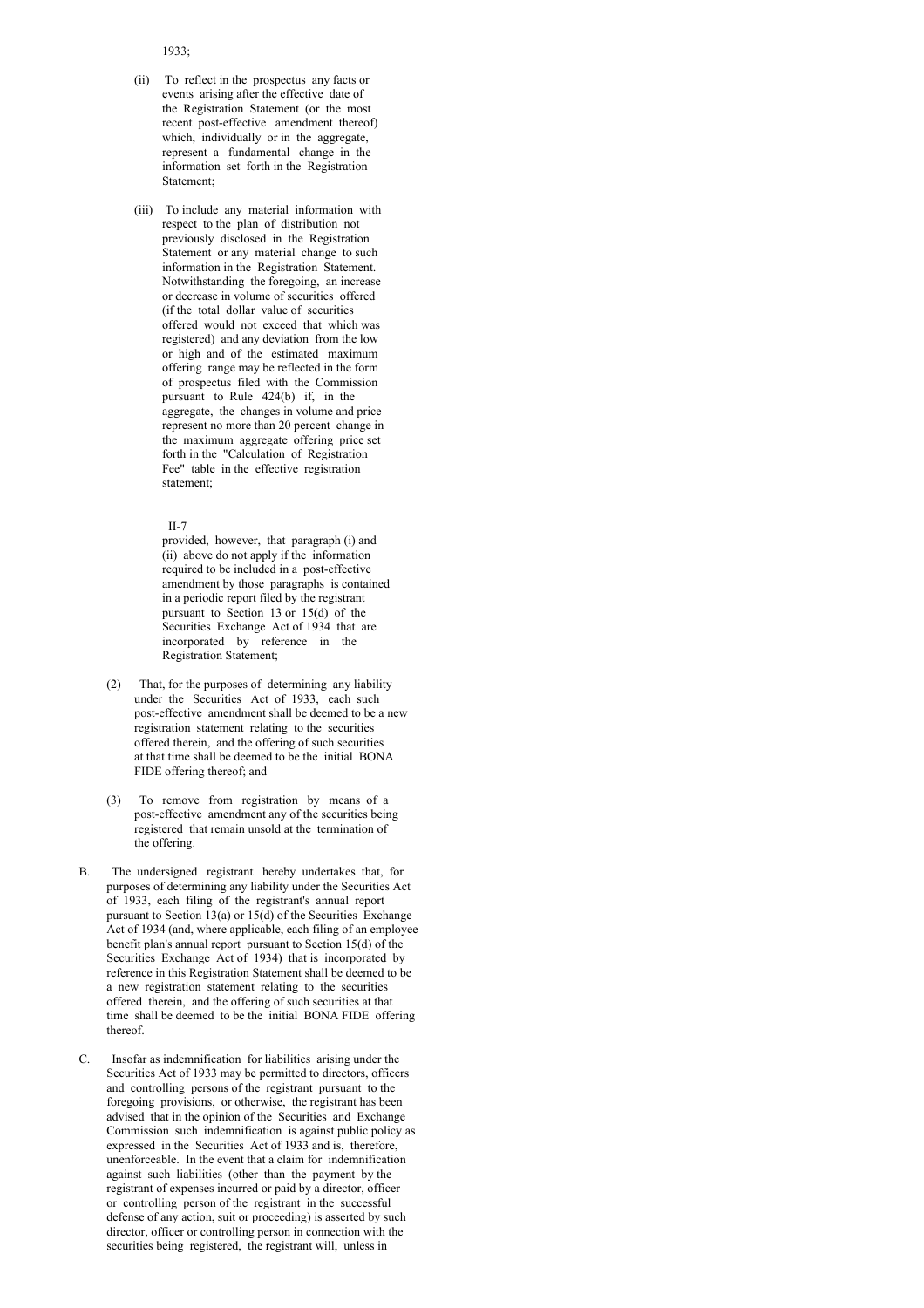1933;

- (ii) To reflect in the prospectus any facts or events arising after the effective date of the Registration Statement (or the most recent post-effective amendment thereof) which, individually or in the aggregate, represent a fundamental change in the information set forth in the Registration Statement;
- (iii) To include any material information with respect to the plan of distribution not previously disclosed in the Registration Statement or any material change to such information in the Registration Statement. Notwithstanding the foregoing, an increase or decrease in volume of securities offered (if the total dollar value of securities offered would not exceed that which was registered) and any deviation from the low or high and of the estimated maximum offering range may be reflected in the form of prospectus filed with the Commission pursuant to Rule 424(b) if, in the aggregate, the changes in volume and price represent no more than 20 percent change in the maximum aggregate offering price set forth in the "Calculation of Registration Fee" table in the effective registration statement;

 $II-7$ 

provided, however, that paragraph (i) and (ii) above do not apply if the information required to be included in a post-effective amendment by those paragraphs is contained in a periodic report filed by the registrant pursuant to Section 13 or 15(d) of the Securities Exchange Act of 1934 that are incorporated by reference in the Registration Statement;

- (2) That, for the purposes of determining any liability under the Securities Act of 1933, each such post-effective amendment shall be deemed to be a new registration statement relating to the securities offered therein, and the offering of such securities at that time shall be deemed to be the initial BONA FIDE offering thereof; and
- (3) To remove from registration by means of a post-effective amendment any of the securities being registered that remain unsold at the termination of the offering.
- B. The undersigned registrant hereby undertakes that, for purposes of determining any liability under the Securities Act of 1933, each filing of the registrant's annual report pursuant to Section  $13(a)$  or  $15(d)$  of the Securities Exchange Act of 1934 (and, where applicable, each filing of an employee benefit plan's annual report pursuant to Section 15(d) of the Securities Exchange Act of 1934) that is incorporated by reference in this Registration Statement shall be deemed to be a new registration statement relating to the securities offered therein, and the offering of such securities at that time shall be deemed to be the initial BONA FIDE offering thereof.
- C. Insofar as indemnification for liabilities arising under the Securities Act of 1933 may be permitted to directors, officers and controlling persons of the registrant pursuant to the foregoing provisions, or otherwise, the registrant has been advised that in the opinion of the Securities and Exchange Commission such indemnification is against public policy as expressed in the Securities Act of 1933 and is, therefore, unenforceable. In the event that a claim for indemnification against such liabilities (other than the payment by the registrant of expenses incurred or paid by a director, officer or controlling person of the registrant in the successful defense of any action, suit or proceeding) is asserted by such director, officer or controlling person in connection with the securities being registered, the registrant will, unless in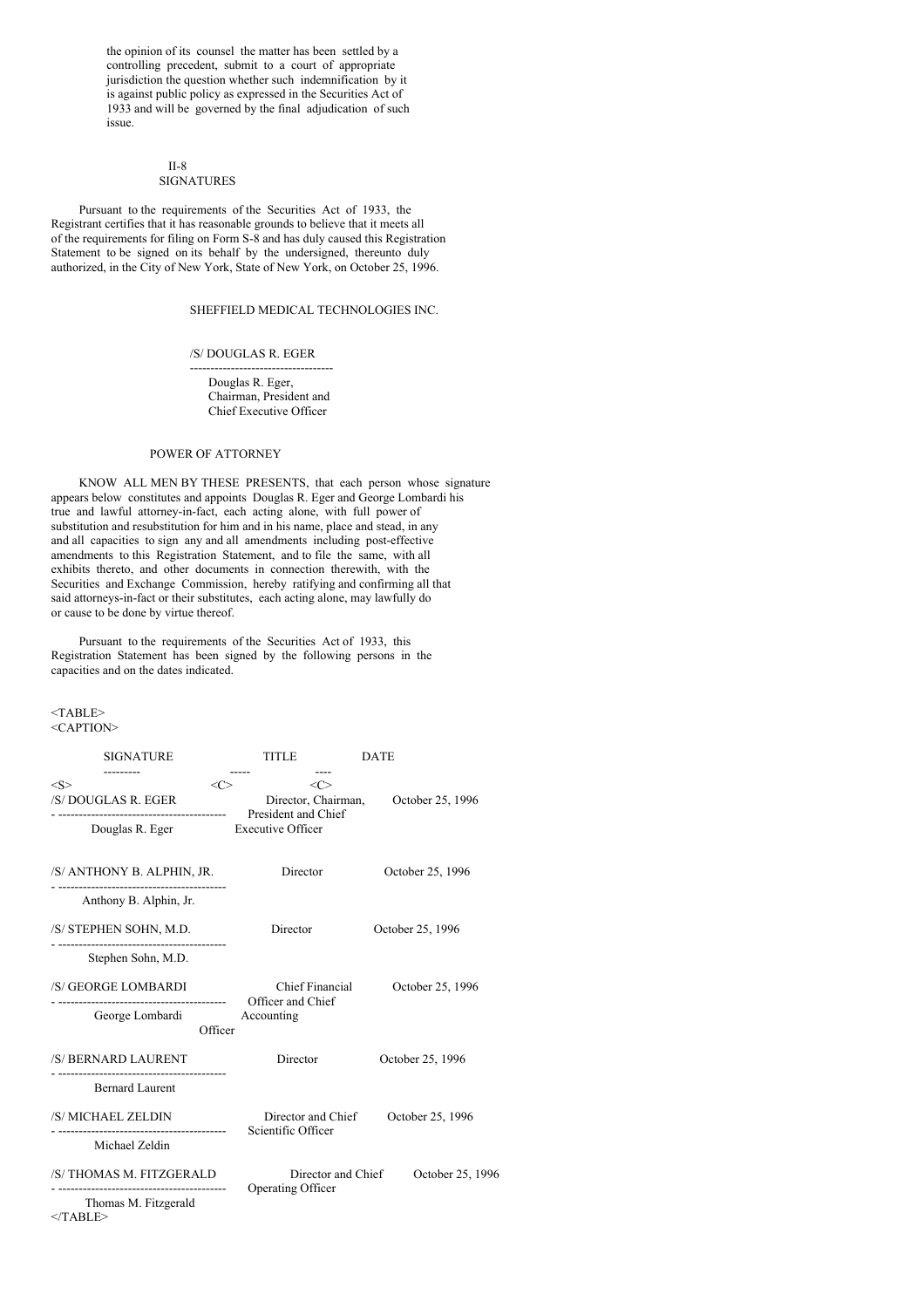the opinion of its counsel the matter has been settled by a controlling precedent, submit to a court of appropriate jurisdiction the question whether such indemnification by it is against public policy as expressed in the Securities Act of 1933 and will be governed by the final adjudication of such issue.

# II-8 SIGNATURES

Pursuant to the requirements of the Securities Act of 1933, the Registrant certifies that it has reasonable grounds to believe that it meets all of the requirements for filing on Form S-8 and has duly caused this Registration Statement to be signed on its behalf by the undersigned, thereunto duly authorized, in the City of New York, State of New York, on October 25, 1996.

# SHEFFIELD MEDICAL TECHNOLOGIES INC.

/S/ DOUGLAS R. EGER

----------------------------------- Douglas R. Eger, Chairman, President and Chief Executive Officer

# POWER OF ATTORNEY

KNOW ALL MEN BY THESE PRESENTS, that each person whose signature appears below constitutes and appoints Douglas R. Eger and George Lombardi his true and lawful attorney-in-fact, each acting alone, with full power of substitution and resubstitution for him and in his name, place and stead, in any and all capacities to sign any and all amendments including post-effective amendments to this Registration Statement, and to file the same, with all exhibits thereto, and other documents in connection therewith, with the Securities and Exchange Commission, hereby ratifying and confirming all that said attorneys-in-fact or their substitutes, each acting alone, may lawfully do or cause to be done by virtue thereof.

Pursuant to the requirements of the Securities Act of 1933, this Registration Statement has been signed by the following persons in the capacities and on the dates indicated.

### <TABLE> <CAPTION>

| <b>SIGNATURE</b>                                                                               | <b>TITLE</b>                                                                                  | <b>DATE</b>      |
|------------------------------------------------------------------------------------------------|-----------------------------------------------------------------------------------------------|------------------|
| ---------<br>$<\!\!S\!\!>$<br><<><br>/S/DOUGLAS R. EGER<br>----------------<br>Douglas R. Eger | $\langle C \rangle$<br>Director, Chairman,<br>President and Chief<br><b>Executive Officer</b> | October 25, 1996 |
| /S/ ANTHONY B. ALPHIN, JR.<br>                                                                 | Director                                                                                      | October 25, 1996 |
| Anthony B. Alphin, Jr.                                                                         |                                                                                               |                  |
| /S/ STEPHEN SOHN, M.D.                                                                         | Director                                                                                      | October 25, 1996 |
| Stephen Sohn, M.D.                                                                             |                                                                                               |                  |
| /S/ GEORGE LOMBARDI                                                                            | Chief Financial<br>Officer and Chief                                                          | October 25, 1996 |
| ----------------------------<br>George Lombardi<br>Officer                                     | Accounting                                                                                    |                  |
| /S/ BERNARD LAURENT                                                                            | Director                                                                                      | October 25, 1996 |
| -------------------------------------<br><b>Bernard Laurent</b>                                |                                                                                               |                  |
| /S/ MICHAEL ZELDIN                                                                             | Director and Chief                                                                            | October 25, 1996 |
| -----------------------------------<br>Michael Zeldin                                          | Scientific Officer                                                                            |                  |
| /S/THOMAS M. FITZGERALD                                                                        | Director and Chief                                                                            | October 25, 1996 |
| Thomas M. Fitzgerald                                                                           | Operating Officer                                                                             |                  |

 $<$ /TABLE>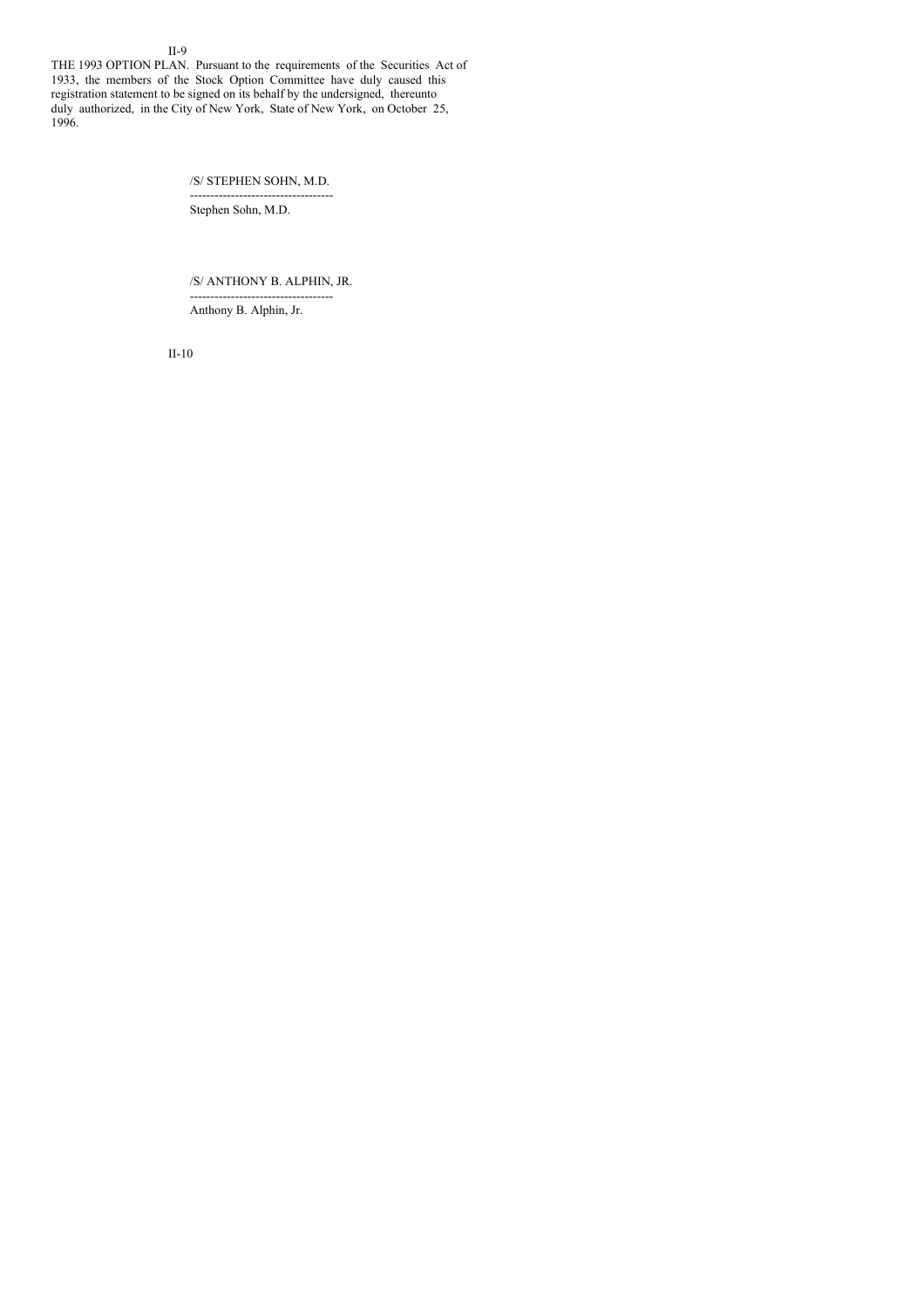II-9

THE 1993 OPTION PLAN. Pursuant to the requirements of the Securities Act of 1933, the members of the Stock Option Committee have duly caused this registration statement to be signed on its behalf by the undersigned, thereunto duly authorized, in the City of New York, State of New York, on October 25, 1996.

/S/ STEPHEN SOHN, M.D.

----------------------------------- Stephen Sohn, M.D.

/S/ ANTHONY B. ALPHIN, JR. -----------------------------------

Anthony B. Alphin, Jr.

II-10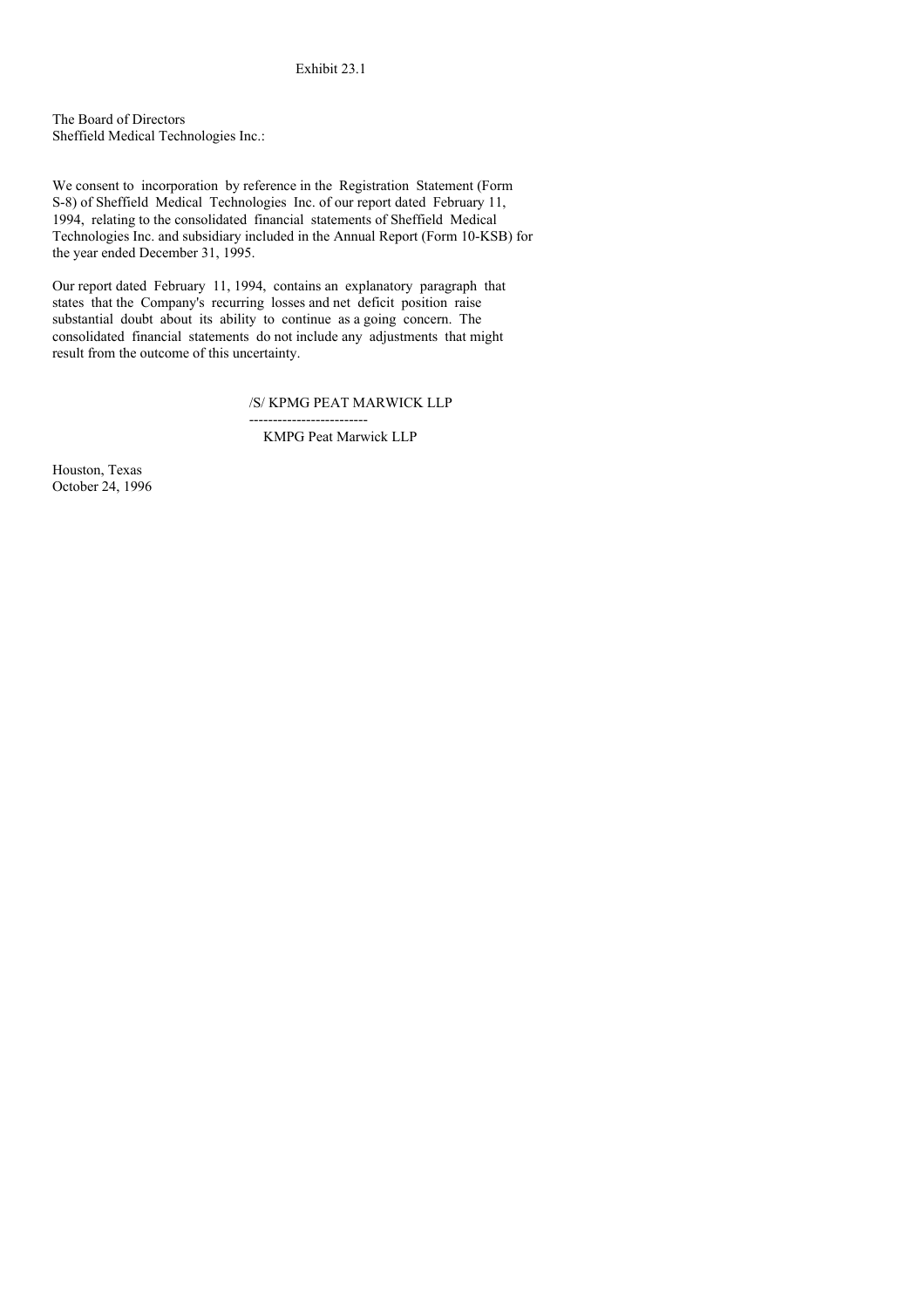The Board of Directors Sheffield Medical Technologies Inc.:

We consent to incorporation by reference in the Registration Statement (Form S-8) of Sheffield Medical Technologies Inc. of our report dated February 11, 1994, relating to the consolidated financial statements of Sheffield Medical Technologies Inc. and subsidiary included in the Annual Report (Form 10-KSB) for the year ended December 31, 1995.

Our report dated February 11, 1994, contains an explanatory paragraph that states that the Company's recurring losses and net deficit position raise substantial doubt about its ability to continue as a going concern. The consolidated financial statements do not include any adjustments that might result from the outcome of this uncertainty.

/S/ KPMG PEAT MARWICK LLP

KMPG Peat Marwick LLP

-------------------------

Houston, Texas October 24, 1996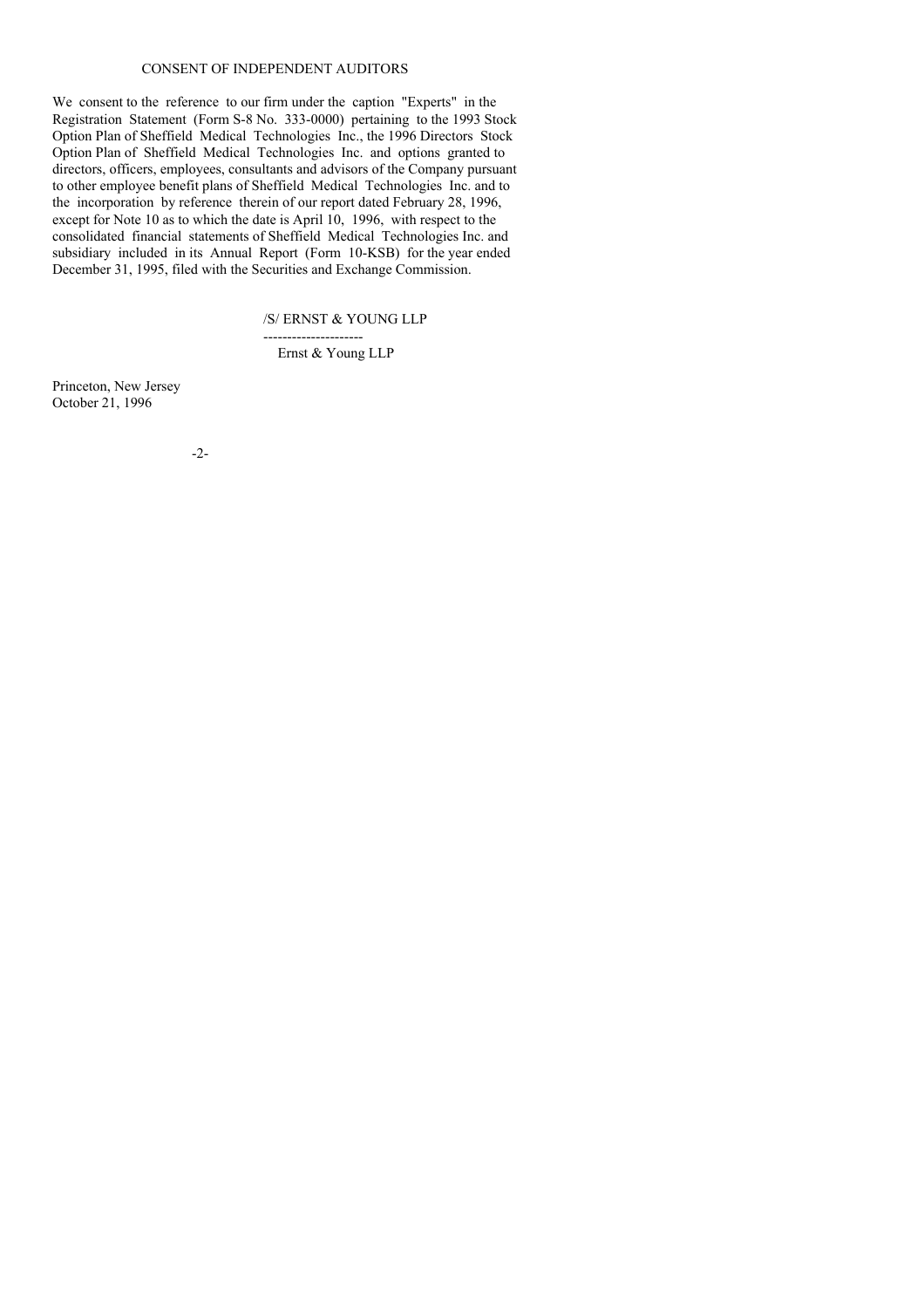# CONSENT OF INDEPENDENT AUDITORS

We consent to the reference to our firm under the caption "Experts" in the Registration Statement (Form S-8 No. 333-0000) pertaining to the 1993 Stock Option Plan of Sheffield Medical Technologies Inc., the 1996 Directors Stock Option Plan of Sheffield Medical Technologies Inc. and options granted to directors, officers, employees, consultants and advisors of the Company pursuant to other employee benefit plans of Sheffield Medical Technologies Inc. and to the incorporation by reference therein of our report dated February 28, 1996, except for Note 10 as to which the date is April 10, 1996, with respect to the consolidated financial statements of Sheffield Medical Technologies Inc. and subsidiary included in its Annual Report (Form 10-KSB) for the year ended December 31, 1995, filed with the Securities and Exchange Commission.

/S/ ERNST & YOUNG LLP

Ernst & Young LLP

---------------------

Princeton, New Jersey October 21, 1996

-2-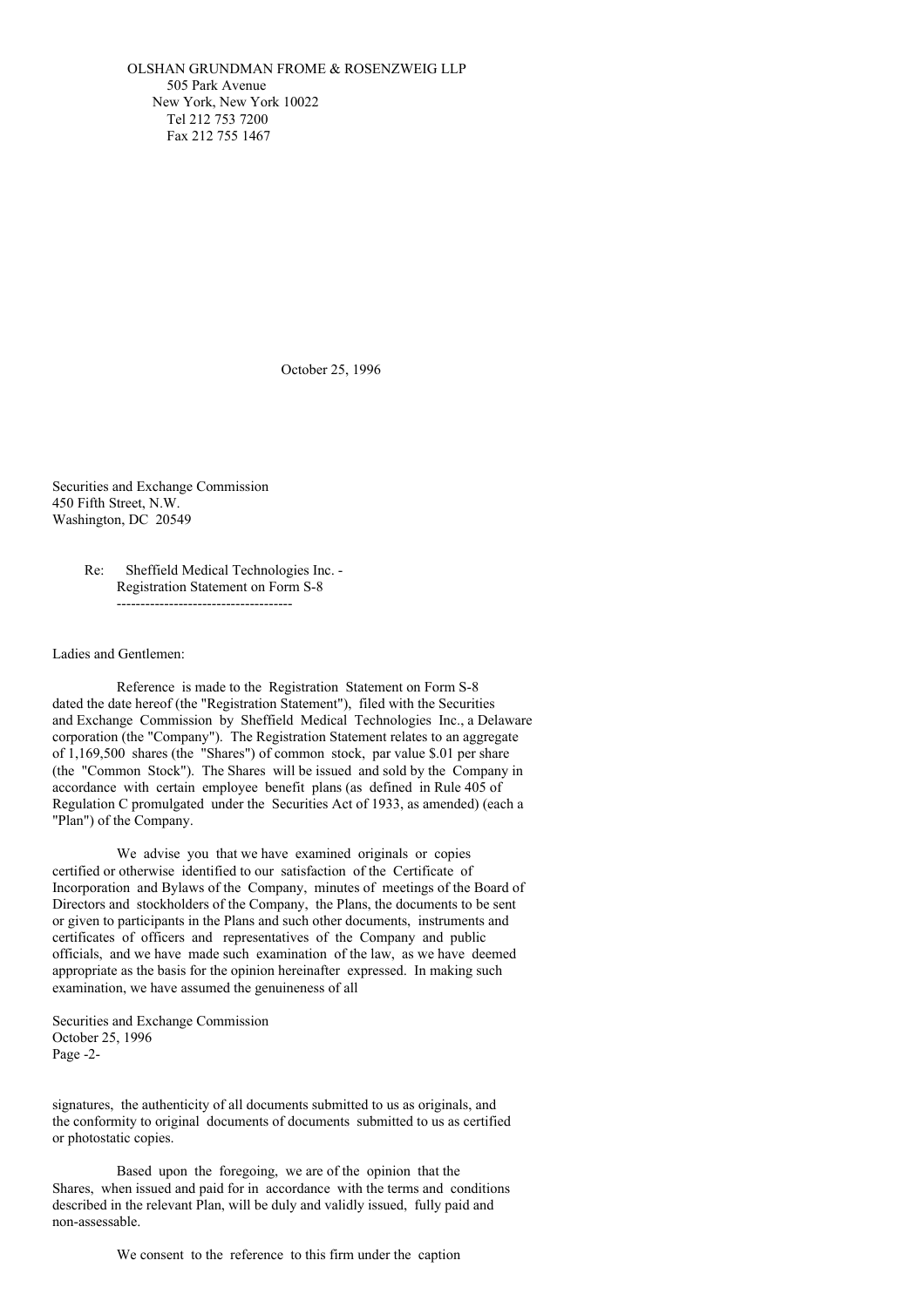OLSHAN GRUNDMAN FROME & ROSENZWEIG LLP 505 Park Avenue New York, New York 10022 Tel 212 753 7200 Fax 212 755 1467

October 25, 1996

Securities and Exchange Commission 450 Fifth Street, N.W. Washington, DC 20549

> Re: Sheffield Medical Technologies Inc. - Registration Statement on Form S-8 -------------------------------------

Ladies and Gentlemen:

Reference is made to the Registration Statement on Form S-8 dated the date hereof (the "Registration Statement"), filed with the Securities and Exchange Commission by Sheffield Medical Technologies Inc., a Delaware corporation (the "Company"). The Registration Statement relates to an aggregate of 1,169,500 shares (the "Shares") of common stock, par value \$.01 per share (the "Common Stock"). The Shares will be issued and sold by the Company in accordance with certain employee benefit plans (as defined in Rule 405 of Regulation C promulgated under the Securities Act of 1933, as amended) (each a "Plan") of the Company.

We advise you that we have examined originals or copies certified or otherwise identified to our satisfaction of the Certificate of Incorporation and Bylaws of the Company, minutes of meetings of the Board of Directors and stockholders of the Company, the Plans, the documents to be sent or given to participants in the Plans and such other documents, instruments and certificates of officers and representatives of the Company and public officials, and we have made such examination of the law, as we have deemed appropriate as the basis for the opinion hereinafter expressed. In making such examination, we have assumed the genuineness of all

Securities and Exchange Commission October 25, 1996 Page -2-

signatures, the authenticity of all documents submitted to us as originals, and the conformity to original documents of documents submitted to us as certified or photostatic copies.

Based upon the foregoing, we are of the opinion that the Shares, when issued and paid for in accordance with the terms and conditions described in the relevant Plan, will be duly and validly issued, fully paid and non-assessable.

We consent to the reference to this firm under the caption